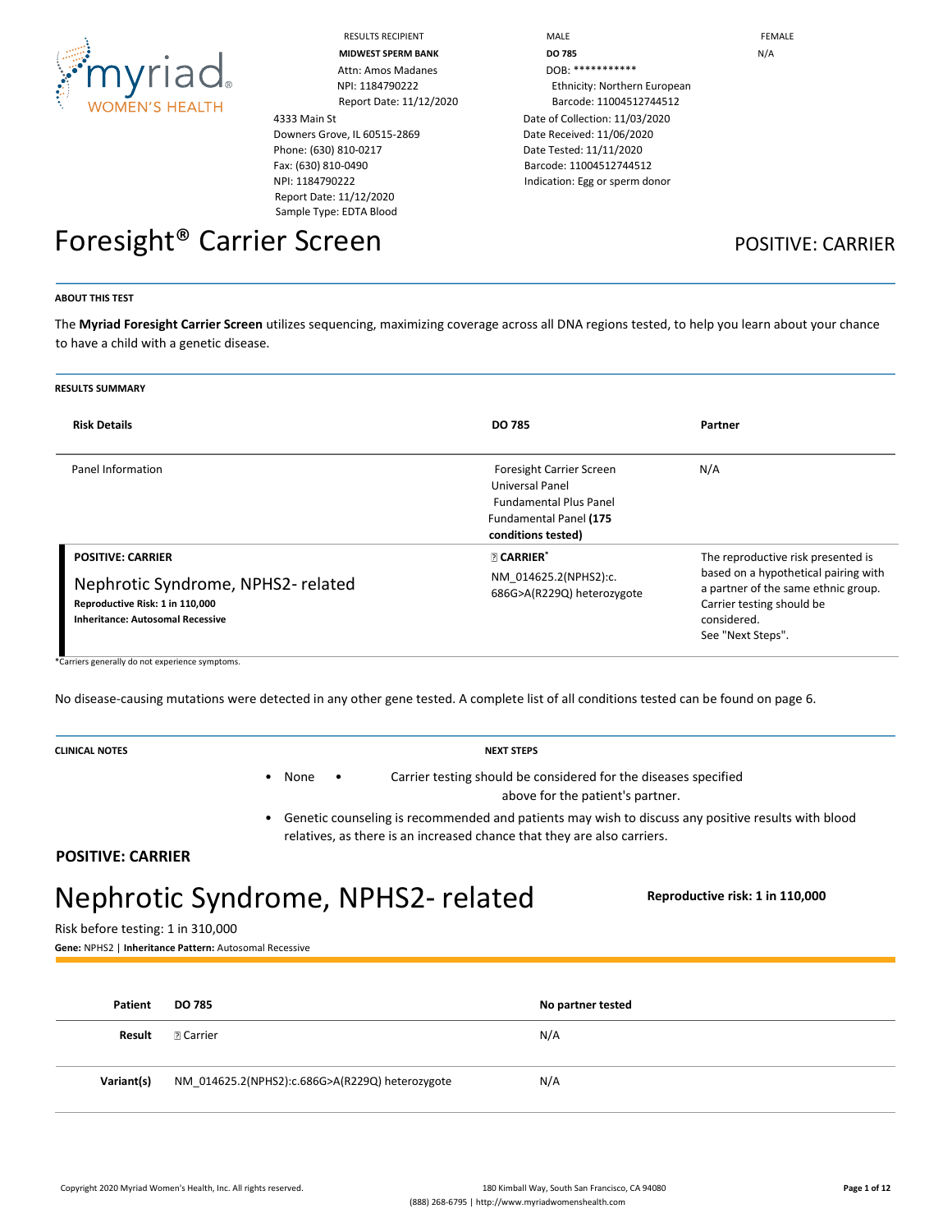

Attn: Amos Madanes DOB: \*\*\*\*\*\*\*\*\*\*\*\*

4333 Main St Downers Grove, IL 60515-2869 Phone: (630) 810-0217 Fax: (630) 810-0490 NPI: 1184790222 Report Date: 11/12/2020 Sample Type: EDTA Blood

RESULTS RECIPIENT **A RECOMBED TO A RECONOMIC MALE FEMALE MIDWEST SPERM BANK DO 785** N/A NPI: 1184790222 Ethnicity: Northern European Report Date: 11/12/2020 Barcode: 11004512744512 Date of Collection: 11/03/2020 Date Received: 11/06/2020 Date Tested: 11/11/2020 Barcode: 11004512744512 Indication: Egg or sperm donor

## Foresight<sup>®</sup> Carrier Screen **POSITIVE: CARRIER**

#### **ABOUT THIS TEST**

The **Myriad Foresight Carrier Screen** utilizes sequencing, maximizing coverage across all DNA regions tested, to help you learn about your chance to have a child with a genetic disease.

| <b>RESULTS SUMMARY</b>                                                                                                                      |                                                                                                                                     |                                                                                                                                                                                    |
|---------------------------------------------------------------------------------------------------------------------------------------------|-------------------------------------------------------------------------------------------------------------------------------------|------------------------------------------------------------------------------------------------------------------------------------------------------------------------------------|
| <b>Risk Details</b>                                                                                                                         | <b>DO 785</b>                                                                                                                       | Partner                                                                                                                                                                            |
| Panel Information                                                                                                                           | <b>Foresight Carrier Screen</b><br>Universal Panel<br><b>Fundamental Plus Panel</b><br>Fundamental Panel (175<br>conditions tested) | N/A                                                                                                                                                                                |
| <b>POSITIVE: CARRIER</b><br>Nephrotic Syndrome, NPHS2-related<br>Reproductive Risk: 1 in 110,000<br><b>Inheritance: Autosomal Recessive</b> | <b>R</b> CARRIER*<br>NM 014625.2(NPHS2):c.<br>686G>A(R229Q) heterozygote                                                            | The reproductive risk presented is<br>based on a hypothetical pairing with<br>a partner of the same ethnic group.<br>Carrier testing should be<br>considered.<br>See "Next Steps". |

\*Carriers generally do not experience symptoms.

No disease-causing mutations were detected in any other gene tested. A complete list of all conditions tested can be found on page 6.

**CLINICAL NOTES NEXT STEPS**

- 
- None Carrier testing should be considered for the diseases specified above for the patient's partner.
- Genetic counseling is recommended and patients may wish to discuss any positive results with blood relatives, as there is an increased chance that they are also carriers.

**POSITIVE: CARRIER**

# Nephrotic Syndrome, NPHS2‑ related **Reproductive risk: 1 in 110,000**

Risk before testing: 1 in 310,000

**Gene:** NPHS2 | **Inheritance Pattern:** Autosomal Recessive

| Patient    | <b>DO 785</b>                                   | No partner tested |
|------------|-------------------------------------------------|-------------------|
| Result     |                                                 | N/A               |
| Variant(s) | NM_014625.2(NPHS2):c.686G>A(R229Q) heterozygote | N/A               |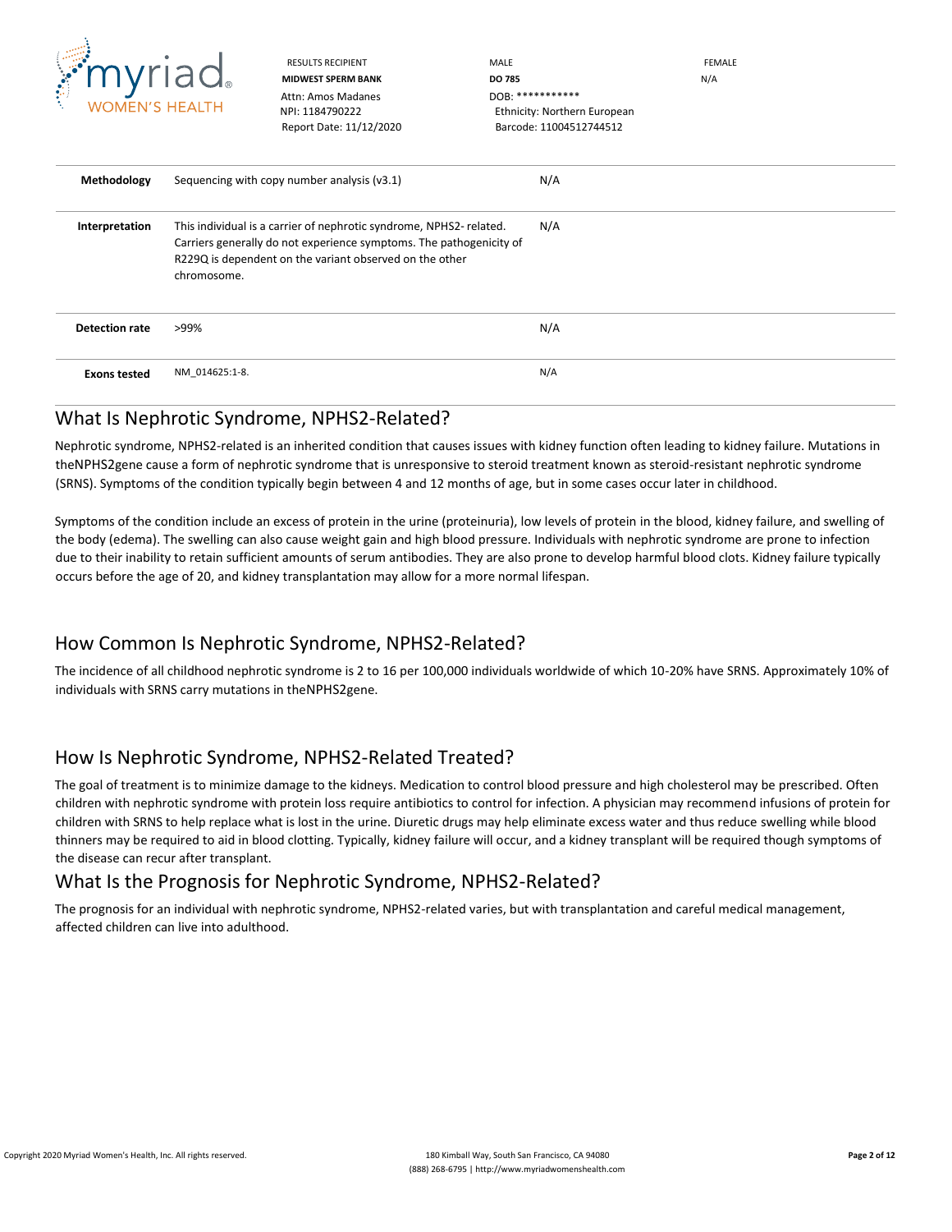

Attn: Amos Madanes **DOB: \*\*\*\*\*\*\*\*\*\*\*\*** 

RESULTS RECIPIENT **MALE** MALE **MALE EEMALE MIDWEST SPERM BANK DO 785** N/A NPI: 1184790222 Ethnicity: Northern European

|                       | Report Date: 11/12/2020                                                                                                                                                                                             | Barcode: 11004512744512 |  |
|-----------------------|---------------------------------------------------------------------------------------------------------------------------------------------------------------------------------------------------------------------|-------------------------|--|
| Methodology           | Sequencing with copy number analysis (v3.1)                                                                                                                                                                         | N/A                     |  |
| Interpretation        | This individual is a carrier of nephrotic syndrome, NPHS2-related.<br>Carriers generally do not experience symptoms. The pathogenicity of<br>R229Q is dependent on the variant observed on the other<br>chromosome. | N/A                     |  |
| <b>Detection rate</b> | >99%                                                                                                                                                                                                                | N/A                     |  |
| <b>Exons tested</b>   | NM_014625:1-8.                                                                                                                                                                                                      | N/A                     |  |

#### What Is Nephrotic Syndrome, NPHS2-Related?

Nephrotic syndrome, NPHS2-related is an inherited condition that causes issues with kidney function often leading to kidney failure. Mutations in theNPHS2gene cause a form of nephrotic syndrome that is unresponsive to steroid treatment known as steroid-resistant nephrotic syndrome (SRNS). Symptoms of the condition typically begin between 4 and 12 months of age, but in some cases occur later in childhood.

Symptoms of the condition include an excess of protein in the urine (proteinuria), low levels of protein in the blood, kidney failure, and swelling of the body (edema). The swelling can also cause weight gain and high blood pressure. Individuals with nephrotic syndrome are prone to infection due to their inability to retain sufficient amounts of serum antibodies. They are also prone to develop harmful blood clots. Kidney failure typically occurs before the age of 20, and kidney transplantation may allow for a more normal lifespan.

#### How Common Is Nephrotic Syndrome, NPHS2-Related?

The incidence of all childhood nephrotic syndrome is 2 to 16 per 100,000 individuals worldwide of which 10-20% have SRNS. Approximately 10% of individuals with SRNS carry mutations in theNPHS2gene.

### How Is Nephrotic Syndrome, NPHS2-Related Treated?

The goal of treatment is to minimize damage to the kidneys. Medication to control blood pressure and high cholesterol may be prescribed. Often children with nephrotic syndrome with protein loss require antibiotics to control for infection. A physician may recommend infusions of protein for children with SRNS to help replace what is lost in the urine. Diuretic drugs may help eliminate excess water and thus reduce swelling while blood thinners may be required to aid in blood clotting. Typically, kidney failure will occur, and a kidney transplant will be required though symptoms of the disease can recur after transplant.

#### What Is the Prognosis for Nephrotic Syndrome, NPHS2-Related?

The prognosis for an individual with nephrotic syndrome, NPHS2-related varies, but with transplantation and careful medical management, affected children can live into adulthood.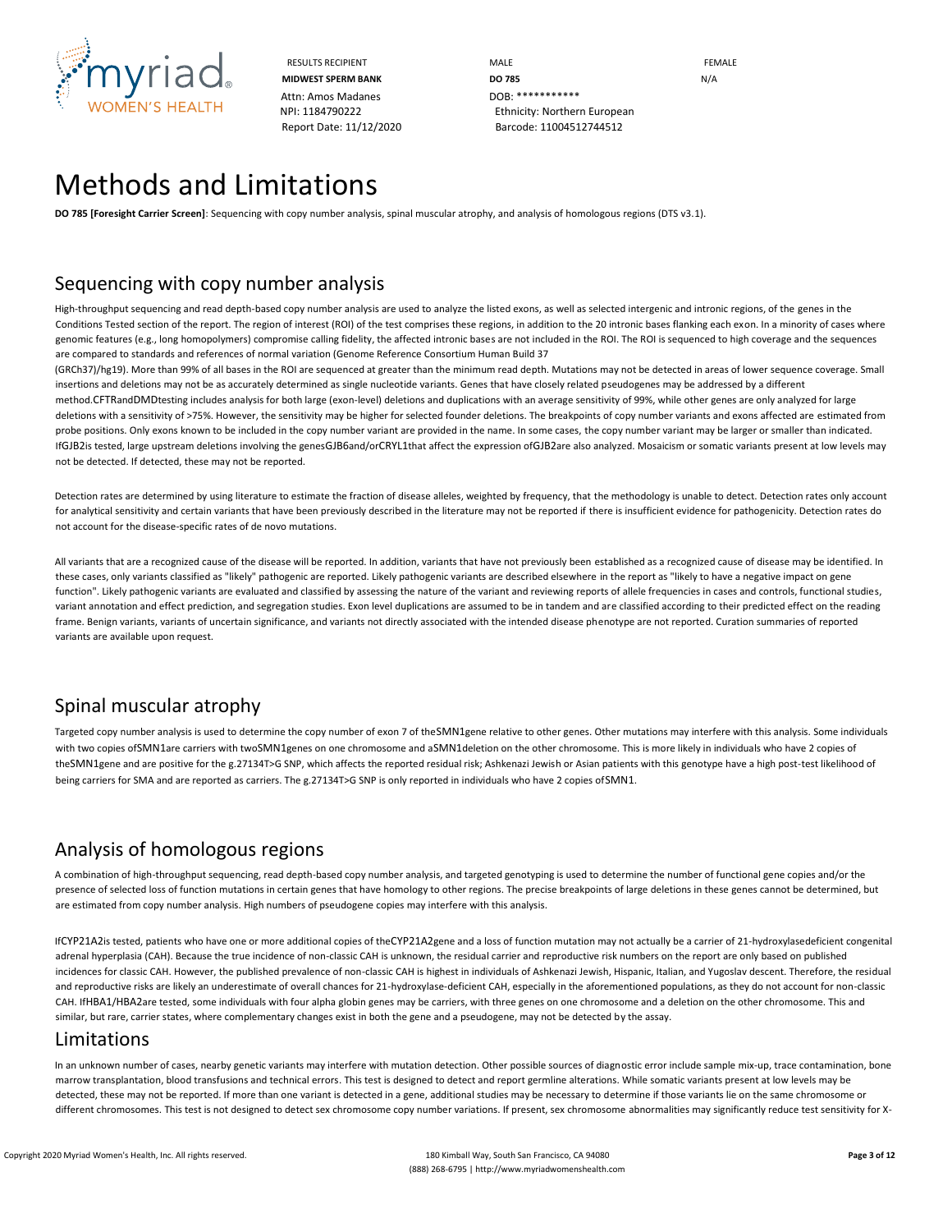

Attn: Amos Madanes **DOB:** \*\*\*\*\*\*\*\*\*\*\*\*\*

RESULTS RECIPIENT **MALE MALE EXAMPLE MIDWEST SPERM BANK DO 785** N/A NPI: 1184790222 Ethnicity: Northern European Report Date: 11/12/2020 Barcode: 11004512744512

## Methods and Limitations

**DO 785 [Foresight Carrier Screen]**: Sequencing with copy number analysis, spinal muscular atrophy, and analysis of homologous regions (DTS v3.1).

## Sequencing with copy number analysis

High-throughput sequencing and read depth-based copy number analysis are used to analyze the listed exons, as well as selected intergenic and intronic regions, of the genes in the Conditions Tested section of the report. The region of interest (ROI) of the test comprises these regions, in addition to the 20 intronic bases flanking each exon. In a minority of cases where genomic features (e.g., long homopolymers) compromise calling fidelity, the affected intronic bases are not included in the ROI. The ROI is sequenced to high coverage and the sequences are compared to standards and references of normal variation (Genome Reference Consortium Human Build 37

(GRCh37)/hg19). More than 99% of all bases in the ROI are sequenced at greater than the minimum read depth. Mutations may not be detected in areas of lower sequence coverage. Small insertions and deletions may not be as accurately determined as single nucleotide variants. Genes that have closely related pseudogenes may be addressed by a different method.CFTRandDMDtesting includes analysis for both large (exon-level) deletions and duplications with an average sensitivity of 99%, while other genes are only analyzed for large deletions with a sensitivity of >75%. However, the sensitivity may be higher for selected founder deletions. The breakpoints of copy number variants and exons affected are estimated from probe positions. Only exons known to be included in the copy number variant are provided in the name. In some cases, the copy number variant may be larger or smaller than indicated. IfGJB2is tested, large upstream deletions involving the genesGJB6and/orCRYL1that affect the expression ofGJB2are also analyzed. Mosaicism or somatic variants present at low levels may not be detected. If detected, these may not be reported.

Detection rates are determined by using literature to estimate the fraction of disease alleles, weighted by frequency, that the methodology is unable to detect. Detection rates only account for analytical sensitivity and certain variants that have been previously described in the literature may not be reported if there is insufficient evidence for pathogenicity. Detection rates do not account for the disease-specific rates of de novo mutations.

All variants that are a recognized cause of the disease will be reported. In addition, variants that have not previously been established as a recognized cause of disease may be identified. In these cases, only variants classified as "likely" pathogenic are reported. Likely pathogenic variants are described elsewhere in the report as "likely to have a negative impact on gene function". Likely pathogenic variants are evaluated and classified by assessing the nature of the variant and reviewing reports of allele frequencies in cases and controls, functional studies, variant annotation and effect prediction, and segregation studies. Exon level duplications are assumed to be in tandem and are classified according to their predicted effect on the reading frame. Benign variants, variants of uncertain significance, and variants not directly associated with the intended disease phenotype are not reported. Curation summaries of reported variants are available upon request.

## Spinal muscular atrophy

Targeted copy number analysis is used to determine the copy number of exon 7 of theSMN1gene relative to other genes. Other mutations may interfere with this analysis. Some individuals with two copies ofSMN1are carriers with twoSMN1genes on one chromosome and aSMN1deletion on the other chromosome. This is more likely in individuals who have 2 copies of theSMN1gene and are positive for the g.27134T>G SNP, which affects the reported residual risk; Ashkenazi Jewish or Asian patients with this genotype have a high post-test likelihood of being carriers for SMA and are reported as carriers. The g.27134T>G SNP is only reported in individuals who have 2 copies ofSMN1.

## Analysis of homologous regions

A combination of high-throughput sequencing, read depth-based copy number analysis, and targeted genotyping is used to determine the number of functional gene copies and/or the presence of selected loss of function mutations in certain genes that have homology to other regions. The precise breakpoints of large deletions in these genes cannot be determined, but are estimated from copy number analysis. High numbers of pseudogene copies may interfere with this analysis.

IfCYP21A2is tested, patients who have one or more additional copies of theCYP21A2gene and a loss of function mutation may not actually be a carrier of 21-hydroxylasedeficient congenital adrenal hyperplasia (CAH). Because the true incidence of non-classic CAH is unknown, the residual carrier and reproductive risk numbers on the report are only based on published incidences for classic CAH. However, the published prevalence of non-classic CAH is highest in individuals of Ashkenazi Jewish, Hispanic, Italian, and Yugoslav descent. Therefore, the residual and reproductive risks are likely an underestimate of overall chances for 21-hydroxylase-deficient CAH, especially in the aforementioned populations, as they do not account for non-classic CAH. IfHBA1/HBA2are tested, some individuals with four alpha globin genes may be carriers, with three genes on one chromosome and a deletion on the other chromosome. This and similar, but rare, carrier states, where complementary changes exist in both the gene and a pseudogene, may not be detected by the assay.

#### Limitations

In an unknown number of cases, nearby genetic variants may interfere with mutation detection. Other possible sources of diagnostic error include sample mix-up, trace contamination, bone marrow transplantation, blood transfusions and technical errors. This test is designed to detect and report germline alterations. While somatic variants present at low levels may be detected, these may not be reported. If more than one variant is detected in a gene, additional studies may be necessary to determine if those variants lie on the same chromosome or different chromosomes. This test is not designed to detect sex chromosome copy number variations. If present, sex chromosome abnormalities may significantly reduce test sensitivity for X-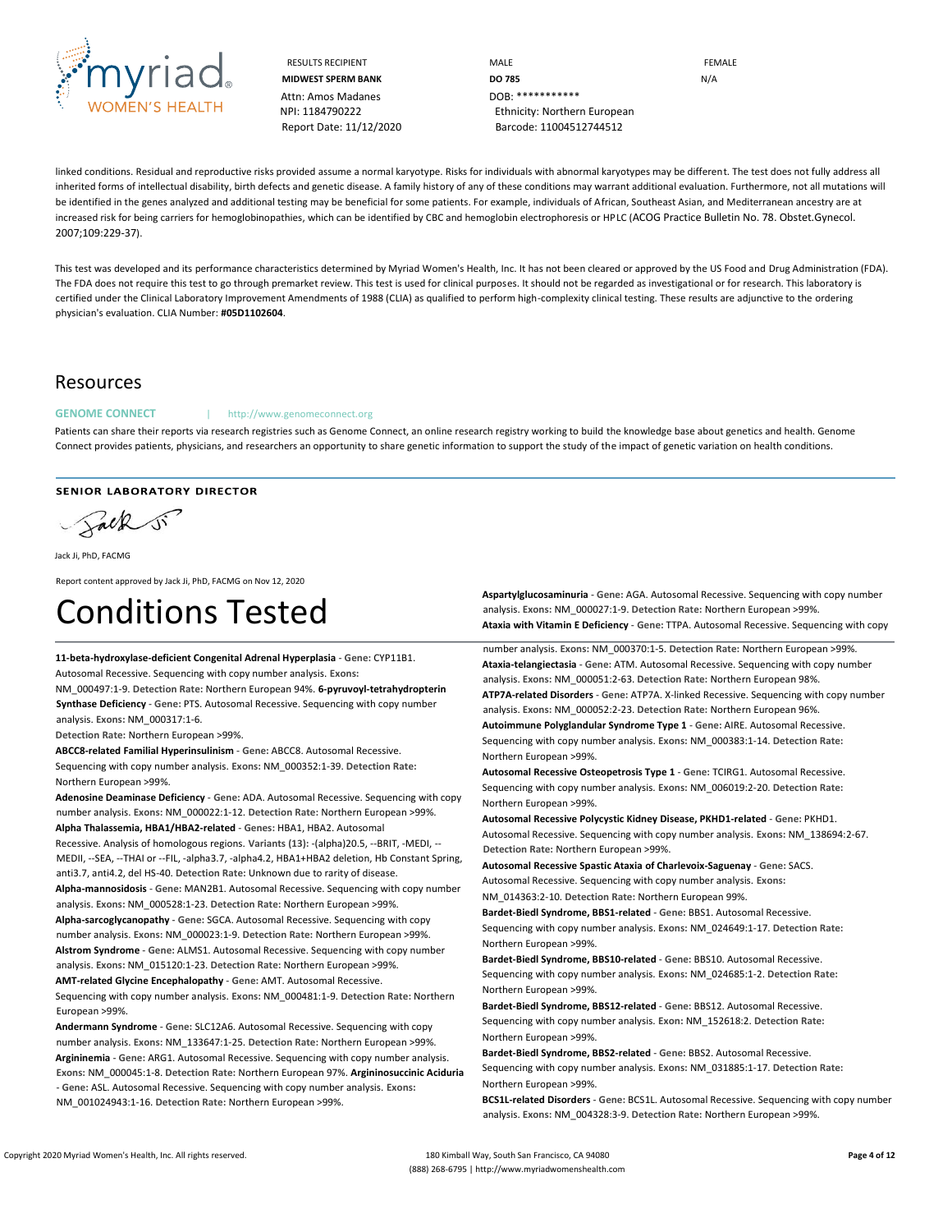

Attn: Amos Madanes **DOB:** \*\*\*\*\*\*\*\*\*\*\*\*\*

RESULTS RECIPIENT **MALE** MALE **MALE EEMALE MIDWEST SPERM BANK DO 785** N/A NPI: 1184790222 Ethnicity: Northern European Report Date: 11/12/2020 Barcode: 11004512744512

linked conditions. Residual and reproductive risks provided assume a normal karyotype. Risks for individuals with abnormal karyotypes may be different. The test does not fully address all inherited forms of intellectual disability, birth defects and genetic disease. A family history of any of these conditions may warrant additional evaluation. Furthermore, not all mutations will be identified in the genes analyzed and additional testing may be beneficial for some patients. For example, individuals of African, Southeast Asian, and Mediterranean ancestry are at increased risk for being carriers for hemoglobinopathies, which can be identified by CBC and hemoglobin electrophoresis or HPLC (ACOG Practice Bulletin No. 78. Obstet.Gynecol. 2007;109:229-37).

This test was developed and its performance characteristics determined by Myriad Women's Health, Inc. It has not been cleared or approved by the US Food and Drug Administration (FDA). The FDA does not require this test to go through premarket review. This test is used for clinical purposes. It should not be regarded as investigational or for research. This laboratory is certified under the Clinical Laboratory Improvement Amendments of 1988 (CLIA) as qualified to perform high-complexity clinical testing. These results are adjunctive to the ordering physician's evaluation. CLIA Number: **#05D1102604**.

#### Resources

GENOME CONNECT | http://www.genomeconnect.org

Patients can share their reports via research registries such as Genome Connect, an online research registry working to build the knowledge base about genetics and health. Genome Connect provides patients, physicians, and researchers an opportunity to share genetic information to support the study of the impact of genetic variation on health conditions.

#### **SENIOR LABORATORY DIRECTOR**

Salk si

Jack Ji, PhD, FACMG

Report content approved by Jack Ji, PhD, FACMG on Nov 12, 2020

# Conditions Tested

**11-beta-hydroxylase-deficient Congenital Adrenal Hyperplasia** - **Gene:** CYP11B1. Autosomal Recessive. Sequencing with copy number analysis. **Exons:**

NM\_000497:1-9. **Detection Rate:** Northern European 94%. **6-pyruvoyl-tetrahydropterin Synthase Deficiency** - **Gene:** PTS. Autosomal Recessive. Sequencing with copy number analysis. **Exons:** NM\_000317:1-6.

**Detection Rate:** Northern European >99%.

**ABCC8-related Familial Hyperinsulinism** - **Gene:** ABCC8. Autosomal Recessive. Sequencing with copy number analysis. **Exons:** NM\_000352:1-39. **Detection Rate:** Northern European >99%.

**Adenosine Deaminase Deficiency** - **Gene:** ADA. Autosomal Recessive. Sequencing with copy number analysis. **Exons:** NM\_000022:1-12. **Detection Rate:** Northern European >99%. **Alpha Thalassemia, HBA1/HBA2-related** - **Genes:** HBA1, HBA2. Autosomal Recessive. Analysis of homologous regions. **Variants (13):** -(alpha)20.5, --BRIT, -MEDI, -- MEDII, --SEA, --THAI or --FIL, -alpha3.7, -alpha4.2, HBA1+HBA2 deletion, Hb Constant Spring, anti3.7, anti4.2, del HS-40. **Detection Rate:** Unknown due to rarity of disease. **Alpha-mannosidosis** - **Gene:** MAN2B1. Autosomal Recessive. Sequencing with copy number analysis. **Exons:** NM\_000528:1-23. **Detection Rate:** Northern European >99%. **Alpha-sarcoglycanopathy** - **Gene:** SGCA. Autosomal Recessive. Sequencing with copy number analysis. **Exons:** NM\_000023:1-9. **Detection Rate:** Northern European >99%. **Alstrom Syndrome** - **Gene:** ALMS1. Autosomal Recessive. Sequencing with copy number analysis. **Exons:** NM\_015120:1-23. **Detection Rate:** Northern European >99%. **AMT-related Glycine Encephalopathy** - **Gene:** AMT. Autosomal Recessive. Sequencing with copy number analysis. **Exons:** NM\_000481:1-9. **Detection Rate:** Northern European >99%.

**Andermann Syndrome** - **Gene:** SLC12A6. Autosomal Recessive. Sequencing with copy number analysis. **Exons:** NM\_133647:1-25. **Detection Rate:** Northern European >99%. **Argininemia** - **Gene:** ARG1. Autosomal Recessive. Sequencing with copy number analysis. **Exons:** NM\_000045:1-8. **Detection Rate:** Northern European 97%. **Argininosuccinic Aciduria**  - **Gene:** ASL. Autosomal Recessive. Sequencing with copy number analysis. **Exons:**  NM\_001024943:1-16. **Detection Rate:** Northern European >99%.

**Aspartylglucosaminuria** - **Gene:** AGA. Autosomal Recessive. Sequencing with copy number analysis. **Exons:** NM\_000027:1-9. **Detection Rate:** Northern European >99%. **Ataxia with Vitamin E Deficiency** - **Gene:** TTPA. Autosomal Recessive. Sequencing with copy

number analysis. **Exons:** NM\_000370:1-5. **Detection Rate:** Northern European >99%. **Ataxia-telangiectasia** - **Gene:** ATM. Autosomal Recessive. Sequencing with copy number analysis. **Exons:** NM\_000051:2-63. **Detection Rate:** Northern European 98%. **ATP7A-related Disorders** - **Gene:** ATP7A. X-linked Recessive. Sequencing with copy number analysis. **Exons:** NM\_000052:2-23. **Detection Rate:** Northern European 96%. **Autoimmune Polyglandular Syndrome Type 1** - **Gene:** AIRE. Autosomal Recessive. Sequencing with copy number analysis. **Exons:** NM\_000383:1-14. **Detection Rate:** Northern European >99%.

**Autosomal Recessive Osteopetrosis Type 1** - **Gene:** TCIRG1. Autosomal Recessive. Sequencing with copy number analysis. **Exons:** NM\_006019:2-20. **Detection Rate:** Northern European >99%.

**Autosomal Recessive Polycystic Kidney Disease, PKHD1-related** - **Gene:** PKHD1. Autosomal Recessive. Sequencing with copy number analysis. **Exons:** NM\_138694:2-67. **Detection Rate:** Northern European >99%.

**Autosomal Recessive Spastic Ataxia of Charlevoix-Saguenay** - **Gene:** SACS. Autosomal Recessive. Sequencing with copy number analysis. **Exons:** NM\_014363:2-10. **Detection Rate:** Northern European 99%.

**Bardet-Biedl Syndrome, BBS1-related** - **Gene:** BBS1. Autosomal Recessive. Sequencing with copy number analysis. **Exons:** NM\_024649:1-17. **Detection Rate:** Northern European >99%.

**Bardet-Biedl Syndrome, BBS10-related** - **Gene:** BBS10. Autosomal Recessive. Sequencing with copy number analysis. **Exons:** NM\_024685:1-2. **Detection Rate:** Northern European >99%.

**Bardet-Biedl Syndrome, BBS12-related** - **Gene:** BBS12. Autosomal Recessive. Sequencing with copy number analysis. **Exon:** NM\_152618:2. **Detection Rate:** Northern European >99%.

**Bardet-Biedl Syndrome, BBS2-related** - **Gene:** BBS2. Autosomal Recessive.

Sequencing with copy number analysis. **Exons:** NM\_031885:1-17. **Detection Rate:** Northern European >99%.

**BCS1L-related Disorders** - **Gene:** BCS1L. Autosomal Recessive. Sequencing with copy number analysis. **Exons:** NM\_004328:3-9. **Detection Rate:** Northern European >99%.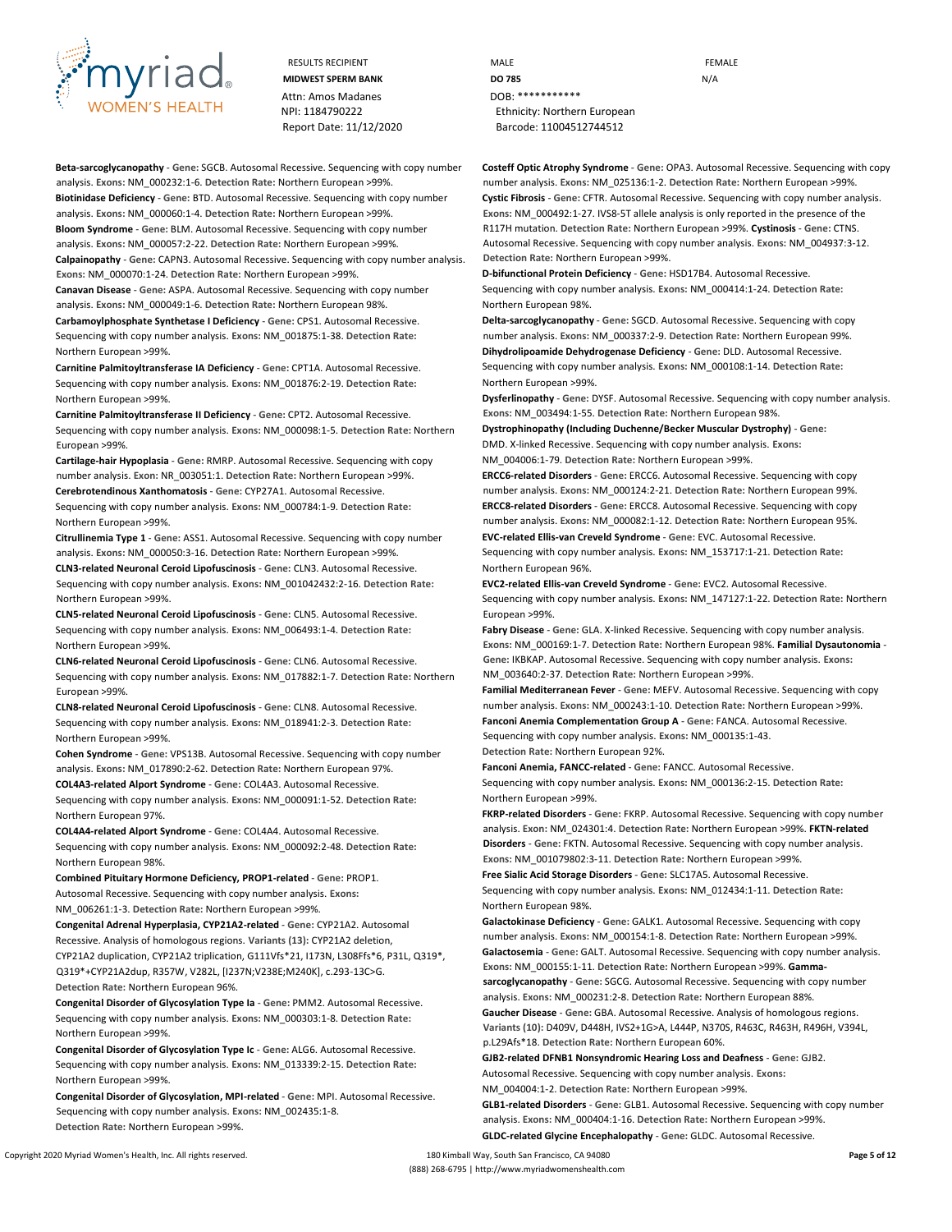

Attn: Amos Madanes **DOB:** \*\*\*\*\*\*\*\*\*\*\*\*

**Beta-sarcoglycanopathy** - **Gene:** SGCB. Autosomal Recessive. Sequencing with copy number analysis. **Exons:** NM\_000232:1-6. **Detection Rate:** Northern European >99%. **Biotinidase Deficiency** - **Gene:** BTD. Autosomal Recessive. Sequencing with copy number analysis. **Exons:** NM\_000060:1-4. **Detection Rate:** Northern European >99%. **Bloom Syndrome** - **Gene:** BLM. Autosomal Recessive. Sequencing with copy number analysis. **Exons:** NM\_000057:2-22. **Detection Rate:** Northern European >99%. **Calpainopathy** - **Gene:** CAPN3. Autosomal Recessive. Sequencing with copy number analysis.

**Exons:** NM\_000070:1-24. **Detection Rate:** Northern European >99%. **Canavan Disease** - **Gene:** ASPA. Autosomal Recessive. Sequencing with copy number

analysis. **Exons:** NM\_000049:1-6. **Detection Rate:** Northern European 98%. **Carbamoylphosphate Synthetase I Deficiency** - **Gene:** CPS1. Autosomal Recessive. Sequencing with copy number analysis. **Exons:** NM\_001875:1-38. **Detection Rate:** Northern European >99%.

**Carnitine Palmitoyltransferase IA Deficiency** - **Gene:** CPT1A. Autosomal Recessive. Sequencing with copy number analysis. **Exons:** NM\_001876:2-19. **Detection Rate:** Northern European >99%.

**Carnitine Palmitoyltransferase II Deficiency** - **Gene:** CPT2. Autosomal Recessive. Sequencing with copy number analysis. **Exons:** NM\_000098:1-5. **Detection Rate:** Northern European >99%.

**Cartilage-hair Hypoplasia** - **Gene:** RMRP. Autosomal Recessive. Sequencing with copy number analysis. **Exon:** NR\_003051:1. **Detection Rate:** Northern European >99%. **Cerebrotendinous Xanthomatosis** - **Gene:** CYP27A1. Autosomal Recessive.

Sequencing with copy number analysis. **Exons:** NM\_000784:1-9. **Detection Rate:** Northern European >99%.

**Citrullinemia Type 1** - **Gene:** ASS1. Autosomal Recessive. Sequencing with copy number analysis. **Exons:** NM\_000050:3-16. **Detection Rate:** Northern European >99%.

**CLN3-related Neuronal Ceroid Lipofuscinosis** - **Gene:** CLN3. Autosomal Recessive. Sequencing with copy number analysis. **Exons:** NM\_001042432:2-16. **Detection Rate:**  Northern European >99%.

**CLN5-related Neuronal Ceroid Lipofuscinosis** - **Gene:** CLN5. Autosomal Recessive. Sequencing with copy number analysis. **Exons:** NM\_006493:1-4. **Detection Rate:** Northern European >99%.

**CLN6-related Neuronal Ceroid Lipofuscinosis** - **Gene:** CLN6. Autosomal Recessive. Sequencing with copy number analysis. **Exons:** NM\_017882:1-7. **Detection Rate:** Northern European >99%.

**CLN8-related Neuronal Ceroid Lipofuscinosis** - **Gene:** CLN8. Autosomal Recessive. Sequencing with copy number analysis. **Exons:** NM\_018941:2-3. **Detection Rate:** Northern European >99%.

**Cohen Syndrome** - **Gene:** VPS13B. Autosomal Recessive. Sequencing with copy number analysis. **Exons:** NM\_017890:2-62. **Detection Rate:** Northern European 97%.

**COL4A3-related Alport Syndrome** - **Gene:** COL4A3. Autosomal Recessive. Sequencing with copy number analysis. **Exons:** NM\_000091:1-52. **Detection Rate:**

**COL4A4-related Alport Syndrome** - **Gene:** COL4A4. Autosomal Recessive. Sequencing with copy number analysis. **Exons:** NM\_000092:2-48. **Detection Rate:** Northern European 98%.

**Combined Pituitary Hormone Deficiency, PROP1-related** - **Gene:** PROP1. Autosomal Recessive. Sequencing with copy number analysis. **Exons:** NM\_006261:1-3. **Detection Rate:** Northern European >99%.

**Congenital Adrenal Hyperplasia, CYP21A2-related** - **Gene:** CYP21A2. Autosomal Recessive. Analysis of homologous regions. **Variants (13):** CYP21A2 deletion, CYP21A2 duplication, CYP21A2 triplication, G111Vfs\*21, I173N, L308Ffs\*6, P31L, Q319\*, Q319\*+CYP21A2dup, R357W, V282L, [I237N;V238E;M240K], c.293-13C>G. **Detection Rate:** Northern European 96%.

**Congenital Disorder of Glycosylation Type Ia** - **Gene:** PMM2. Autosomal Recessive. Sequencing with copy number analysis. **Exons:** NM\_000303:1-8. **Detection Rate:** Northern European >99%.

**Congenital Disorder of Glycosylation Type Ic** - **Gene:** ALG6. Autosomal Recessive. Sequencing with copy number analysis. **Exons:** NM\_013339:2-15. **Detection Rate:** Northern European >99%.

**Congenital Disorder of Glycosylation, MPI-related** - **Gene:** MPI. Autosomal Recessive. Sequencing with copy number analysis. **Exons:** NM\_002435:1-8. **Detection Rate:** Northern European >99%.

RESULTS RECIPIENT **And CONTACT CONTROLLER CONTROLLER CONTROLLER CONTROLLER CONTROLLER CONTROLLER CONTROLLER CONTROLLER MIDWEST SPERM BANK DO 785** N/A NPI: 1184790222 Ethnicity: Northern European Report Date: 11/12/2020 Barcode: 11004512744512

> **Costeff Optic Atrophy Syndrome** - **Gene:** OPA3. Autosomal Recessive. Sequencing with copy number analysis. **Exons:** NM\_025136:1-2. **Detection Rate:** Northern European >99%. **Cystic Fibrosis** - **Gene:** CFTR. Autosomal Recessive. Sequencing with copy number analysis. **Exons:** NM\_000492:1-27. IVS8-5T allele analysis is only reported in the presence of the R117H mutation. **Detection Rate:** Northern European >99%. **Cystinosis** - **Gene:** CTNS. Autosomal Recessive. Sequencing with copy number analysis. **Exons:** NM\_004937:3-12. **Detection Rate:** Northern European >99%.

**D-bifunctional Protein Deficiency** - **Gene:** HSD17B4. Autosomal Recessive. Sequencing with copy number analysis. **Exons:** NM\_000414:1-24. **Detection Rate:** Northern European 98%.

**Delta-sarcoglycanopathy** - **Gene:** SGCD. Autosomal Recessive. Sequencing with copy number analysis. **Exons:** NM\_000337:2-9. **Detection Rate:** Northern European 99%. **Dihydrolipoamide Dehydrogenase Deficiency** - **Gene:** DLD. Autosomal Recessive. Sequencing with copy number analysis. **Exons:** NM\_000108:1-14. **Detection Rate:** Northern European >99%.

**Dysferlinopathy** - **Gene:** DYSF. Autosomal Recessive. Sequencing with copy number analysis. **Exons:** NM\_003494:1-55. **Detection Rate:** Northern European 98%.

**Dystrophinopathy (Including Duchenne/Becker Muscular Dystrophy)** - **Gene:** DMD. X-linked Recessive. Sequencing with copy number analysis. **Exons:** NM\_004006:1-79. **Detection Rate:** Northern European >99%.

**ERCC6-related Disorders** - **Gene:** ERCC6. Autosomal Recessive. Sequencing with copy number analysis. **Exons:** NM\_000124:2-21. **Detection Rate:** Northern European 99%. **ERCC8-related Disorders** - **Gene:** ERCC8. Autosomal Recessive. Sequencing with copy number analysis. **Exons:** NM\_000082:1-12. **Detection Rate:** Northern European 95%. **EVC-related Ellis-van Creveld Syndrome** - **Gene:** EVC. Autosomal Recessive.

Sequencing with copy number analysis. **Exons:** NM\_153717:1-21. **Detection Rate:** Northern European 96%.

**EVC2-related Ellis-van Creveld Syndrome** - **Gene:** EVC2. Autosomal Recessive. Sequencing with copy number analysis. **Exons:** NM\_147127:1-22. **Detection Rate:** Northern European >99%.

**Fabry Disease** - **Gene:** GLA. X-linked Recessive. Sequencing with copy number analysis. **Exons:** NM\_000169:1-7. **Detection Rate:** Northern European 98%. **Familial Dysautonomia** - **Gene:** IKBKAP. Autosomal Recessive. Sequencing with copy number analysis. **Exons:**  NM\_003640:2-37. **Detection Rate:** Northern European >99%.

**Familial Mediterranean Fever** - **Gene:** MEFV. Autosomal Recessive. Sequencing with copy number analysis. **Exons:** NM\_000243:1-10. **Detection Rate:** Northern European >99%. **Fanconi Anemia Complementation Group A** - **Gene:** FANCA. Autosomal Recessive. Sequencing with copy number analysis. **Exons:** NM\_000135:1-43. **Detection Rate:** Northern European 92%.

**Fanconi Anemia, FANCC-related** - **Gene:** FANCC. Autosomal Recessive. Sequencing with copy number analysis. **Exons:** NM\_000136:2-15. **Detection Rate:** Northern European >99%.

**FKRP-related Disorders** - **Gene:** FKRP. Autosomal Recessive. Sequencing with copy number analysis. **Exon:** NM\_024301:4. **Detection Rate:** Northern European >99%. **FKTN-related Disorders** - **Gene:** FKTN. Autosomal Recessive. Sequencing with copy number analysis. **Exons:** NM\_001079802:3-11. **Detection Rate:** Northern European >99%.

**Free Sialic Acid Storage Disorders** - **Gene:** SLC17A5. Autosomal Recessive. Sequencing with copy number analysis. **Exons:** NM\_012434:1-11. **Detection Rate:** Northern European 98%.

**Galactokinase Deficiency** - **Gene:** GALK1. Autosomal Recessive. Sequencing with copy number analysis. **Exons:** NM\_000154:1-8. **Detection Rate:** Northern European >99%. **Galactosemia** - **Gene:** GALT. Autosomal Recessive. Sequencing with copy number analysis. **Exons:** NM\_000155:1-11. **Detection Rate:** Northern European >99%. **Gammasarcoglycanopathy** - **Gene:** SGCG. Autosomal Recessive. Sequencing with copy number analysis. **Exons:** NM\_000231:2-8. **Detection Rate:** Northern European 88%.

**Gaucher Disease** - **Gene:** GBA. Autosomal Recessive. Analysis of homologous regions. **Variants (10):** D409V, D448H, IVS2+1G>A, L444P, N370S, R463C, R463H, R496H, V394L, p.L29Afs\*18. **Detection Rate:** Northern European 60%.

**GJB2-related DFNB1 Nonsyndromic Hearing Loss and Deafness** - **Gene:** GJB2. Autosomal Recessive. Sequencing with copy number analysis. **Exons:**

NM\_004004:1-2. **Detection Rate:** Northern European >99%.

**GLB1-related Disorders** - **Gene:** GLB1. Autosomal Recessive. Sequencing with copy number analysis. **Exons:** NM\_000404:1-16. **Detection Rate:** Northern European >99%. **GLDC-related Glycine Encephalopathy** - **Gene:** GLDC. Autosomal Recessive.

Northern European 97%.

Copyright 2020 Myriad Women's Health, Inc. All rights reserved. 180 Kimball Way, South San Francisco, CA 94080 **Page 5 of 12** (888) 268-6795 | http://www.myriadwomenshealth.com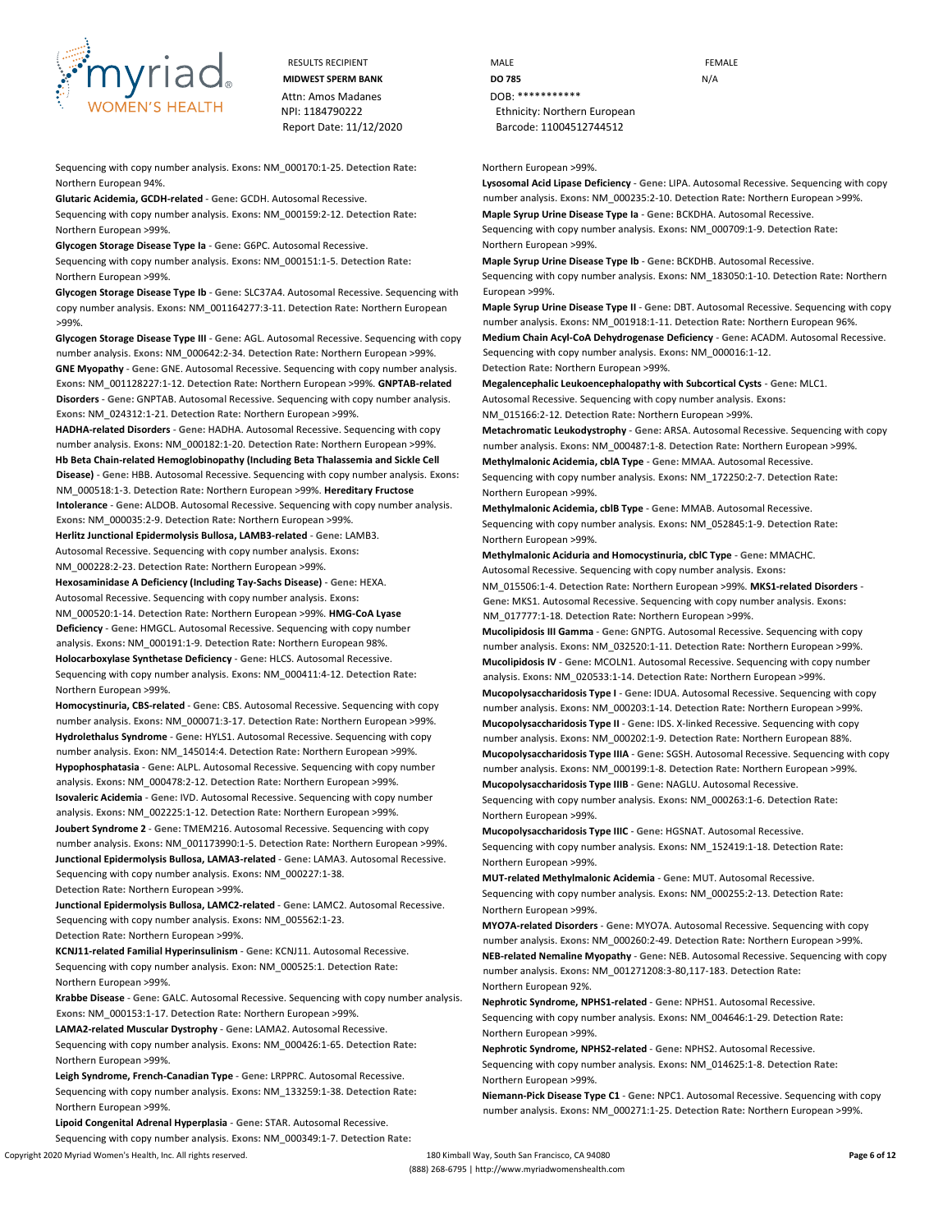

RESULTS RECIPIENT **MALE MALE EXAMPLE** Attn: Amos Madanes **DOB:** \*\*\*\*\*\*\*\*\*\*\*\*

Sequencing with copy number analysis. **Exons:** NM\_000170:1-25. **Detection Rate:** Northern European 94%.

**Glutaric Acidemia, GCDH-related** - **Gene:** GCDH. Autosomal Recessive.

Sequencing with copy number analysis. **Exons:** NM\_000159:2-12. **Detection Rate:** Northern European >99%.

**Glycogen Storage Disease Type Ia** - **Gene:** G6PC. Autosomal Recessive. Sequencing with copy number analysis. **Exons:** NM\_000151:1-5. **Detection Rate:** Northern European >99%.

**Glycogen Storage Disease Type Ib** - **Gene:** SLC37A4. Autosomal Recessive. Sequencing with copy number analysis. **Exons:** NM\_001164277:3-11. **Detection Rate:** Northern European >99%.

**Glycogen Storage Disease Type III** - **Gene:** AGL. Autosomal Recessive. Sequencing with copy number analysis. **Exons:** NM\_000642:2-34. **Detection Rate:** Northern European >99%. **GNE Myopathy** - **Gene:** GNE. Autosomal Recessive. Sequencing with copy number analysis. **Exons:** NM\_001128227:1-12. **Detection Rate:** Northern European >99%. **GNPTAB-related Disorders** - **Gene:** GNPTAB. Autosomal Recessive. Sequencing with copy number analysis. **Exons:** NM\_024312:1-21. **Detection Rate:** Northern European >99%.

**HADHA-related Disorders** - **Gene:** HADHA. Autosomal Recessive. Sequencing with copy number analysis. **Exons:** NM\_000182:1-20. **Detection Rate:** Northern European >99%. **Hb Beta Chain-related Hemoglobinopathy (Including Beta Thalassemia and Sickle Cell Disease)** - **Gene:** HBB. Autosomal Recessive. Sequencing with copy number analysis. **Exons:**  NM\_000518:1-3. **Detection Rate:** Northern European >99%. **Hereditary Fructose Intolerance** - **Gene:** ALDOB. Autosomal Recessive. Sequencing with copy number analysis. **Exons:** NM\_000035:2-9. **Detection Rate:** Northern European >99%.

**Herlitz Junctional Epidermolysis Bullosa, LAMB3-related** - **Gene:** LAMB3. Autosomal Recessive. Sequencing with copy number analysis. **Exons:** NM\_000228:2-23. **Detection Rate:** Northern European >99%.

**Hexosaminidase A Deficiency (Including Tay-Sachs Disease)** - **Gene:** HEXA. Autosomal Recessive. Sequencing with copy number analysis. **Exons:** NM\_000520:1-14. **Detection Rate:** Northern European >99%. **HMG-CoA Lyase Deficiency** - **Gene:** HMGCL. Autosomal Recessive. Sequencing with copy number analysis. **Exons:** NM\_000191:1-9. **Detection Rate:** Northern European 98%. **Holocarboxylase Synthetase Deficiency** - **Gene:** HLCS. Autosomal Recessive. Sequencing with copy number analysis. **Exons:** NM\_000411:4-12. **Detection Rate:** Northern European >99%.

**Homocystinuria, CBS-related** - **Gene:** CBS. Autosomal Recessive. Sequencing with copy number analysis. **Exons:** NM\_000071:3-17. **Detection Rate:** Northern European >99%. **Hydrolethalus Syndrome** - **Gene:** HYLS1. Autosomal Recessive. Sequencing with copy number analysis. **Exon:** NM\_145014:4. **Detection Rate:** Northern European >99%. **Hypophosphatasia** - **Gene:** ALPL. Autosomal Recessive. Sequencing with copy number analysis. **Exons:** NM\_000478:2-12. **Detection Rate:** Northern European >99%. **Isovaleric Acidemia** - **Gene:** IVD. Autosomal Recessive. Sequencing with copy number analysis. **Exons:** NM\_002225:1-12. **Detection Rate:** Northern European >99%. **Joubert Syndrome 2** - **Gene:** TMEM216. Autosomal Recessive. Sequencing with copy number analysis. **Exons:** NM\_001173990:1-5. **Detection Rate:** Northern European >99%. **Junctional Epidermolysis Bullosa, LAMA3-related** - **Gene:** LAMA3. Autosomal Recessive. Sequencing with copy number analysis. **Exons:** NM\_000227:1-38.

**Detection Rate:** Northern European >99%.

**Junctional Epidermolysis Bullosa, LAMC2-related** - **Gene:** LAMC2. Autosomal Recessive. Sequencing with copy number analysis. **Exons:** NM\_005562:1-23. **Detection Rate:** Northern European >99%.

**KCNJ11-related Familial Hyperinsulinism** - **Gene:** KCNJ11. Autosomal Recessive. Sequencing with copy number analysis. **Exon:** NM\_000525:1. **Detection Rate:** Northern European >99%.

**Krabbe Disease** - **Gene:** GALC. Autosomal Recessive. Sequencing with copy number analysis. **Exons:** NM\_000153:1-17. **Detection Rate:** Northern European >99%.

**LAMA2-related Muscular Dystrophy** - **Gene:** LAMA2. Autosomal Recessive. Sequencing with copy number analysis. **Exons:** NM\_000426:1-65. **Detection Rate:** Northern European >99%.

**Leigh Syndrome, French-Canadian Type** - **Gene:** LRPPRC. Autosomal Recessive. Sequencing with copy number analysis. **Exons:** NM\_133259:1-38. **Detection Rate:** Northern European >99%.

**Lipoid Congenital Adrenal Hyperplasia** - **Gene:** STAR. Autosomal Recessive. Sequencing with copy number analysis. **Exons:** NM\_000349:1-7. **Detection Rate:**

**MIDWEST SPERM BANK DO 785** N/A NPI: 1184790222 Ethnicity: Northern European Report Date: 11/12/2020 Barcode: 11004512744512

Northern European >99%.

**Lysosomal Acid Lipase Deficiency** - **Gene:** LIPA. Autosomal Recessive. Sequencing with copy number analysis. **Exons:** NM\_000235:2-10. **Detection Rate:** Northern European >99%. **Maple Syrup Urine Disease Type Ia** - **Gene:** BCKDHA. Autosomal Recessive.

Sequencing with copy number analysis. **Exons:** NM\_000709:1-9. **Detection Rate:** Northern European >99%.

**Maple Syrup Urine Disease Type Ib** - **Gene:** BCKDHB. Autosomal Recessive. Sequencing with copy number analysis. **Exons:** NM\_183050:1-10. **Detection Rate:** Northern European >99%.

**Maple Syrup Urine Disease Type II** - **Gene:** DBT. Autosomal Recessive. Sequencing with copy number analysis. **Exons:** NM\_001918:1-11. **Detection Rate:** Northern European 96%.

**Medium Chain Acyl-CoA Dehydrogenase Deficiency** - **Gene:** ACADM. Autosomal Recessive. Sequencing with copy number analysis. **Exons:** NM\_000016:1-12.

**Detection Rate:** Northern European >99%.

**Megalencephalic Leukoencephalopathy with Subcortical Cysts** - **Gene:** MLC1.

Autosomal Recessive. Sequencing with copy number analysis. **Exons:**

NM\_015166:2-12. **Detection Rate:** Northern European >99%.

**Metachromatic Leukodystrophy** - **Gene:** ARSA. Autosomal Recessive. Sequencing with copy number analysis. **Exons:** NM\_000487:1-8. **Detection Rate:** Northern European >99%.

**Methylmalonic Acidemia, cblA Type** - **Gene:** MMAA. Autosomal Recessive. Sequencing with copy number analysis. **Exons:** NM\_172250:2-7. **Detection Rate:** Northern European >99%.

**Methylmalonic Acidemia, cblB Type** - **Gene:** MMAB. Autosomal Recessive. Sequencing with copy number analysis. **Exons:** NM\_052845:1-9. **Detection Rate:** Northern European >99%.

**Methylmalonic Aciduria and Homocystinuria, cblC Type** - **Gene:** MMACHC. Autosomal Recessive. Sequencing with copy number analysis. **Exons:** NM\_015506:1-4. **Detection Rate:** Northern European >99%. **MKS1-related Disorders** -

**Gene:** MKS1. Autosomal Recessive. Sequencing with copy number analysis. **Exons:**  NM\_017777:1-18. **Detection Rate:** Northern European >99%.

**Mucolipidosis III Gamma** - **Gene:** GNPTG. Autosomal Recessive. Sequencing with copy number analysis. **Exons:** NM\_032520:1-11. **Detection Rate:** Northern European >99%. **Mucolipidosis IV** - **Gene:** MCOLN1. Autosomal Recessive. Sequencing with copy number analysis. **Exons:** NM\_020533:1-14. **Detection Rate:** Northern European >99%. **Mucopolysaccharidosis Type I** - **Gene:** IDUA. Autosomal Recessive. Sequencing with copy number analysis. **Exons:** NM\_000203:1-14. **Detection Rate:** Northern European >99%. **Mucopolysaccharidosis Type II** - **Gene:** IDS. X-linked Recessive. Sequencing with copy number analysis. **Exons:** NM\_000202:1-9. **Detection Rate:** Northern European 88%. **Mucopolysaccharidosis Type IIIA** - **Gene:** SGSH. Autosomal Recessive. Sequencing with copy

number analysis. **Exons:** NM\_000199:1-8. **Detection Rate:** Northern European >99%. **Mucopolysaccharidosis Type IIIB** - **Gene:** NAGLU. Autosomal Recessive. Sequencing with copy number analysis. **Exons:** NM\_000263:1-6. **Detection Rate:**

Northern European >99%.

**Mucopolysaccharidosis Type IIIC** - **Gene:** HGSNAT. Autosomal Recessive. Sequencing with copy number analysis. **Exons:** NM\_152419:1-18. **Detection Rate:** Northern European >99%.

**MUT-related Methylmalonic Acidemia** - **Gene:** MUT. Autosomal Recessive. Sequencing with copy number analysis. **Exons:** NM\_000255:2-13. **Detection Rate:** Northern European >99%.

**MYO7A-related Disorders** - **Gene:** MYO7A. Autosomal Recessive. Sequencing with copy number analysis. **Exons:** NM\_000260:2-49. **Detection Rate:** Northern European >99%. **NEB-related Nemaline Myopathy** - **Gene:** NEB. Autosomal Recessive. Sequencing with copy number analysis. **Exons:** NM\_001271208:3-80,117-183. **Detection Rate:** Northern European 92%.

**Nephrotic Syndrome, NPHS1-related** - **Gene:** NPHS1. Autosomal Recessive. Sequencing with copy number analysis. **Exons:** NM\_004646:1-29. **Detection Rate:** Northern European >99%.

**Nephrotic Syndrome, NPHS2-related** - **Gene:** NPHS2. Autosomal Recessive. Sequencing with copy number analysis. **Exons:** NM\_014625:1-8. **Detection Rate:** Northern European >99%.

**Niemann-Pick Disease Type C1** - **Gene:** NPC1. Autosomal Recessive. Sequencing with copy number analysis. **Exons:** NM\_000271:1-25. **Detection Rate:** Northern European >99%.

Copyright 2020 Myriad Women's Health, Inc. All rights reserved. 180 Kimball Way, South San Francisco, CA 94080 **Page 6 of 12**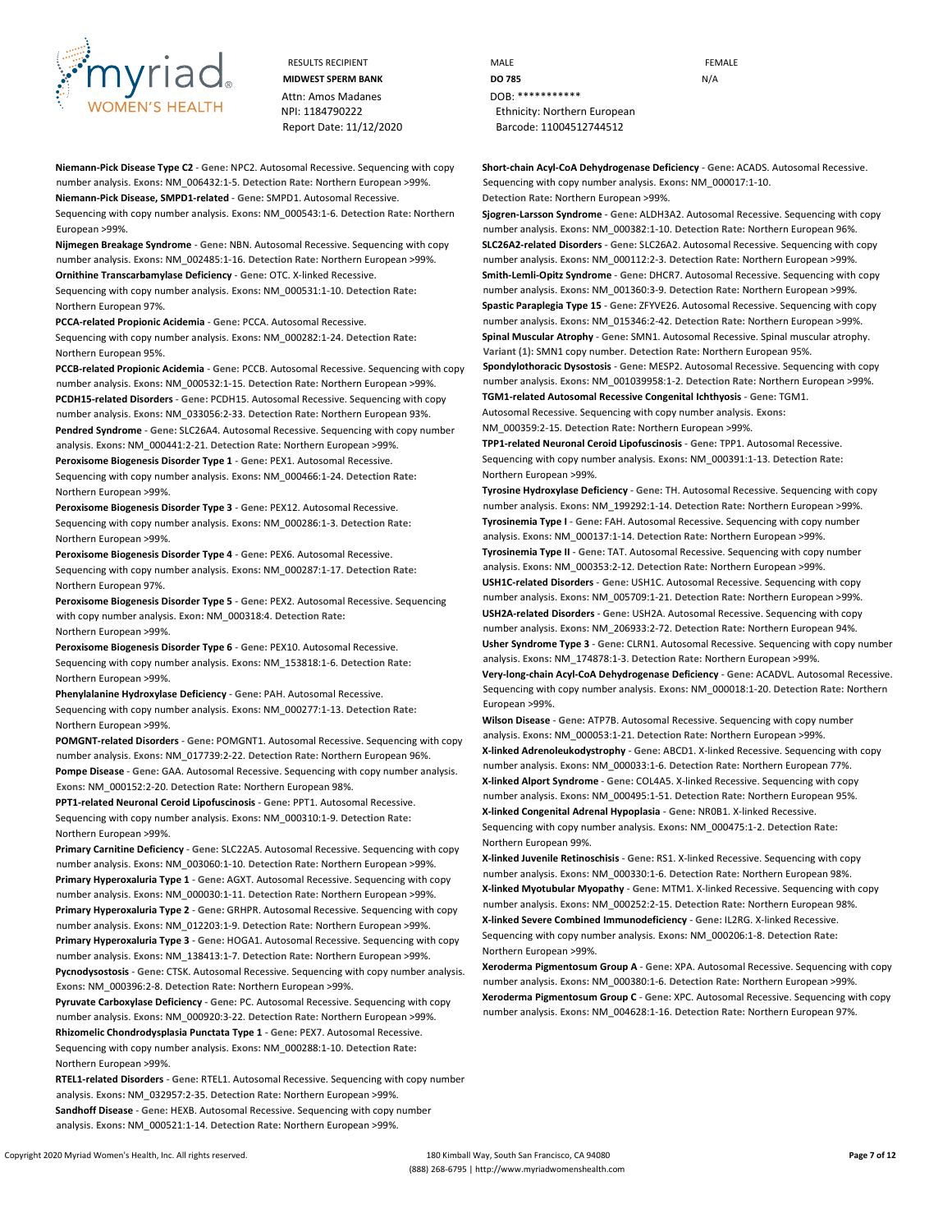

Attn: Amos Madanes **DOB:** \*\*\*\*\*\*\*\*\*\*\*\* Report Date: 11/12/2020 Barcode: 11004512744512

**Niemann-Pick Disease Type C2** - **Gene:** NPC2. Autosomal Recessive. Sequencing with copy number analysis. **Exons:** NM\_006432:1-5. **Detection Rate:** Northern European >99%. **Niemann-Pick Disease, SMPD1-related** - **Gene:** SMPD1. Autosomal Recessive. Sequencing with copy number analysis. **Exons:** NM\_000543:1-6. **Detection Rate:** Northern European >99%.

**Nijmegen Breakage Syndrome** - **Gene:** NBN. Autosomal Recessive. Sequencing with copy number analysis. **Exons:** NM\_002485:1-16. **Detection Rate:** Northern European >99%. **Ornithine Transcarbamylase Deficiency** - **Gene:** OTC. X-linked Recessive.

Sequencing with copy number analysis. **Exons:** NM\_000531:1-10. **Detection Rate:** Northern European 97%.

**PCCA-related Propionic Acidemia** - **Gene:** PCCA. Autosomal Recessive. Sequencing with copy number analysis. **Exons:** NM\_000282:1-24. **Detection Rate:** Northern European 95%.

**PCCB-related Propionic Acidemia** - **Gene:** PCCB. Autosomal Recessive. Sequencing with copy number analysis. **Exons:** NM\_000532:1-15. **Detection Rate:** Northern European >99%. **PCDH15-related Disorders** - **Gene:** PCDH15. Autosomal Recessive. Sequencing with copy number analysis. **Exons:** NM\_033056:2-33. **Detection Rate:** Northern European 93%. **Pendred Syndrome** - **Gene:** SLC26A4. Autosomal Recessive. Sequencing with copy number analysis. **Exons:** NM\_000441:2-21. **Detection Rate:** Northern European >99%. **Peroxisome Biogenesis Disorder Type 1** - **Gene:** PEX1. Autosomal Recessive. Sequencing with copy number analysis. **Exons:** NM\_000466:1-24. **Detection Rate:** Northern European >99%.

**Peroxisome Biogenesis Disorder Type 3** - **Gene:** PEX12. Autosomal Recessive. Sequencing with copy number analysis. **Exons:** NM\_000286:1-3. **Detection Rate:** Northern European >99%.

**Peroxisome Biogenesis Disorder Type 4** - **Gene:** PEX6. Autosomal Recessive. Sequencing with copy number analysis. **Exons:** NM\_000287:1-17. **Detection Rate:** Northern European 97%.

**Peroxisome Biogenesis Disorder Type 5** - **Gene:** PEX2. Autosomal Recessive. Sequencing with copy number analysis. **Exon:** NM\_000318:4. **Detection Rate:** Northern European >99%.

**Peroxisome Biogenesis Disorder Type 6** - **Gene:** PEX10. Autosomal Recessive. Sequencing with copy number analysis. **Exons:** NM\_153818:1-6. **Detection Rate:** Northern European >99%.

**Phenylalanine Hydroxylase Deficiency** - **Gene:** PAH. Autosomal Recessive. Sequencing with copy number analysis. **Exons:** NM\_000277:1-13. **Detection Rate:** Northern European >99%.

**POMGNT-related Disorders** - **Gene:** POMGNT1. Autosomal Recessive. Sequencing with copy number analysis. **Exons:** NM\_017739:2-22. **Detection Rate:** Northern European 96%. **Pompe Disease** - **Gene:** GAA. Autosomal Recessive. Sequencing with copy number analysis. **Exons:** NM\_000152:2-20. **Detection Rate:** Northern European 98%.

**PPT1-related Neuronal Ceroid Lipofuscinosis** - **Gene:** PPT1. Autosomal Recessive. Sequencing with copy number analysis. **Exons:** NM\_000310:1-9. **Detection Rate:** Northern European >99%.

**Primary Carnitine Deficiency** - **Gene:** SLC22A5. Autosomal Recessive. Sequencing with copy number analysis. **Exons:** NM\_003060:1-10. **Detection Rate:** Northern European >99%. **Primary Hyperoxaluria Type 1** - **Gene:** AGXT. Autosomal Recessive. Sequencing with copy number analysis. **Exons:** NM\_000030:1-11. **Detection Rate:** Northern European >99%. **Primary Hyperoxaluria Type 2** - **Gene:** GRHPR. Autosomal Recessive. Sequencing with copy number analysis. **Exons:** NM\_012203:1-9. **Detection Rate:** Northern European >99%. **Primary Hyperoxaluria Type 3** - **Gene:** HOGA1. Autosomal Recessive. Sequencing with copy number analysis. **Exons:** NM\_138413:1-7. **Detection Rate:** Northern European >99%. **Pycnodysostosis** - **Gene:** CTSK. Autosomal Recessive. Sequencing with copy number analysis. **Exons:** NM\_000396:2-8. **Detection Rate:** Northern European >99%.

**Pyruvate Carboxylase Deficiency** - **Gene:** PC. Autosomal Recessive. Sequencing with copy number analysis. **Exons:** NM\_000920:3-22. **Detection Rate:** Northern European >99%. **Rhizomelic Chondrodysplasia Punctata Type 1** - **Gene:** PEX7. Autosomal Recessive. Sequencing with copy number analysis. **Exons:** NM\_000288:1-10. **Detection Rate:** Northern European >99%.

**RTEL1-related Disorders** - **Gene:** RTEL1. Autosomal Recessive. Sequencing with copy number analysis. **Exons:** NM\_032957:2-35. **Detection Rate:** Northern European >99%. **Sandhoff Disease** - **Gene:** HEXB. Autosomal Recessive. Sequencing with copy number analysis. **Exons:** NM\_000521:1-14. **Detection Rate:** Northern European >99%.

RESULTS RECIPIENT **MALE MALE EXAMPLE MIDWEST SPERM BANK DO 785** N/A NPI: 1184790222 Ethnicity: Northern European

> **Short-chain Acyl-CoA Dehydrogenase Deficiency** - **Gene:** ACADS. Autosomal Recessive. Sequencing with copy number analysis. **Exons:** NM\_000017:1-10. **Detection Rate:** Northern European >99%.

**Sjogren-Larsson Syndrome** - **Gene:** ALDH3A2. Autosomal Recessive. Sequencing with copy number analysis. **Exons:** NM\_000382:1-10. **Detection Rate:** Northern European 96%. **SLC26A2-related Disorders** - **Gene:** SLC26A2. Autosomal Recessive. Sequencing with copy number analysis. **Exons:** NM\_000112:2-3. **Detection Rate:** Northern European >99%. **Smith-Lemli-Opitz Syndrome** - **Gene:** DHCR7. Autosomal Recessive. Sequencing with copy number analysis. **Exons:** NM\_001360:3-9. **Detection Rate:** Northern European >99%. **Spastic Paraplegia Type 15** - **Gene:** ZFYVE26. Autosomal Recessive. Sequencing with copy number analysis. **Exons:** NM\_015346:2-42. **Detection Rate:** Northern European >99%. **Spinal Muscular Atrophy** - **Gene:** SMN1. Autosomal Recessive. Spinal muscular atrophy. **Variant (1):** SMN1 copy number. **Detection Rate:** Northern European 95%. **Spondylothoracic Dysostosis** - **Gene:** MESP2. Autosomal Recessive. Sequencing with copy number analysis. **Exons:** NM\_001039958:1-2. **Detection Rate:** Northern European >99%. **TGM1-related Autosomal Recessive Congenital Ichthyosis** - **Gene:** TGM1.

Autosomal Recessive. Sequencing with copy number analysis. **Exons:** NM\_000359:2-15. **Detection Rate:** Northern European >99%.

**TPP1-related Neuronal Ceroid Lipofuscinosis** - **Gene:** TPP1. Autosomal Recessive. Sequencing with copy number analysis. **Exons:** NM\_000391:1-13. **Detection Rate:** Northern European >99%.

**Tyrosine Hydroxylase Deficiency** - **Gene:** TH. Autosomal Recessive. Sequencing with copy number analysis. **Exons:** NM\_199292:1-14. **Detection Rate:** Northern European >99%. **Tyrosinemia Type I** - **Gene:** FAH. Autosomal Recessive. Sequencing with copy number analysis. **Exons:** NM\_000137:1-14. **Detection Rate:** Northern European >99%. **Tyrosinemia Type II** - **Gene:** TAT. Autosomal Recessive. Sequencing with copy number analysis. **Exons:** NM\_000353:2-12. **Detection Rate:** Northern European >99%. **USH1C-related Disorders** - **Gene:** USH1C. Autosomal Recessive. Sequencing with copy number analysis. **Exons:** NM\_005709:1-21. **Detection Rate:** Northern European >99%. **USH2A-related Disorders** - **Gene:** USH2A. Autosomal Recessive. Sequencing with copy number analysis. **Exons:** NM\_206933:2-72. **Detection Rate:** Northern European 94%. **Usher Syndrome Type 3** - **Gene:** CLRN1. Autosomal Recessive. Sequencing with copy number analysis. **Exons:** NM\_174878:1-3. **Detection Rate:** Northern European >99%. **Very-long-chain Acyl-CoA Dehydrogenase Deficiency** - **Gene:** ACADVL. Autosomal Recessive. Sequencing with copy number analysis. **Exons:** NM\_000018:1-20. **Detection Rate:** Northern European >99%.

**Wilson Disease** - **Gene:** ATP7B. Autosomal Recessive. Sequencing with copy number analysis. **Exons:** NM\_000053:1-21. **Detection Rate:** Northern European >99%. **X-linked Adrenoleukodystrophy** - **Gene:** ABCD1. X-linked Recessive. Sequencing with copy number analysis. **Exons:** NM\_000033:1-6. **Detection Rate:** Northern European 77%. **X-linked Alport Syndrome** - **Gene:** COL4A5. X-linked Recessive. Sequencing with copy number analysis. **Exons:** NM\_000495:1-51. **Detection Rate:** Northern European 95%. **X-linked Congenital Adrenal Hypoplasia** - **Gene:** NR0B1. X-linked Recessive. Sequencing with copy number analysis. **Exons:** NM\_000475:1-2. **Detection Rate:** Northern European 99%.

**X-linked Juvenile Retinoschisis** - **Gene:** RS1. X-linked Recessive. Sequencing with copy number analysis. **Exons:** NM\_000330:1-6. **Detection Rate:** Northern European 98%. **X-linked Myotubular Myopathy** - **Gene:** MTM1. X-linked Recessive. Sequencing with copy number analysis. **Exons:** NM\_000252:2-15. **Detection Rate:** Northern European 98%. **X-linked Severe Combined Immunodeficiency** - **Gene:** IL2RG. X-linked Recessive. Sequencing with copy number analysis. **Exons:** NM\_000206:1-8. **Detection Rate:** Northern European >99%.

**Xeroderma Pigmentosum Group A** - **Gene:** XPA. Autosomal Recessive. Sequencing with copy number analysis. **Exons:** NM\_000380:1-6. **Detection Rate:** Northern European >99%. **Xeroderma Pigmentosum Group C** - **Gene:** XPC. Autosomal Recessive. Sequencing with copy number analysis. **Exons:** NM\_004628:1-16. **Detection Rate:** Northern European 97%.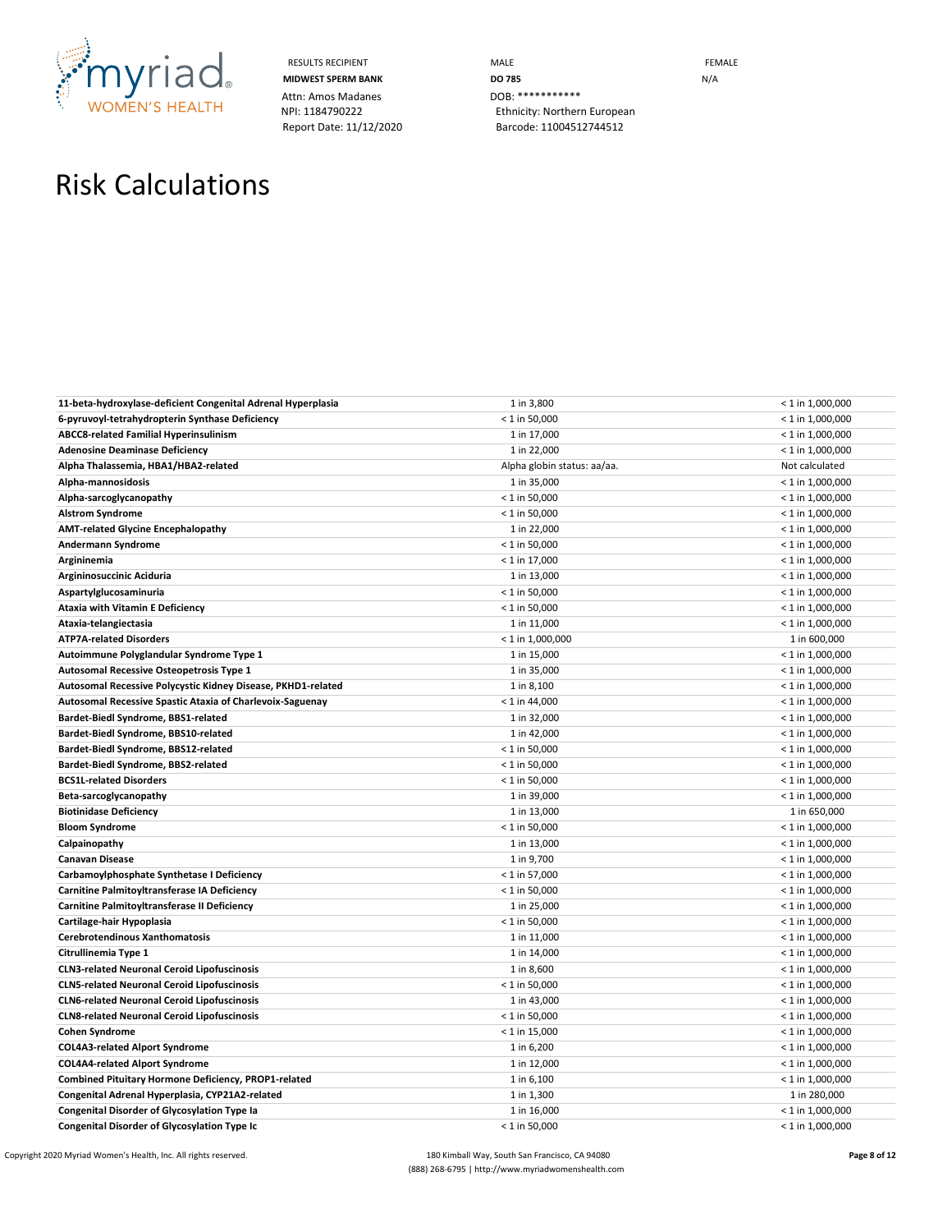

Attn: Amos Madanes **DOB:** \*\*\*\*\*\*\*\*\*\*\*\*\*\*<br>
NPI: 1184790222 **Billion** Ethnicity: Norther

RESULTS RECIPIENT **MALE MALE MIDWEST SPERM BANK DO 785 DO 785** N/A Ethnicity: Northern European Report Date: 11/12/2020 Barcode: 11004512744512

# Risk Calculations

| 11-beta-hydroxylase-deficient Congenital Adrenal Hyperplasia | 1 in 3,800                  | $< 1$ in 1,000,000 |
|--------------------------------------------------------------|-----------------------------|--------------------|
| 6-pyruvoyl-tetrahydropterin Synthase Deficiency              | $< 1$ in 50,000             | $< 1$ in 1,000,000 |
| <b>ABCC8-related Familial Hyperinsulinism</b>                | 1 in 17,000                 | $< 1$ in 1,000,000 |
| <b>Adenosine Deaminase Deficiency</b>                        | 1 in 22,000                 | $< 1$ in 1,000,000 |
| Alpha Thalassemia, HBA1/HBA2-related                         | Alpha globin status: aa/aa. | Not calculated     |
| Alpha-mannosidosis                                           | 1 in 35,000                 | $<$ 1 in 1,000,000 |
| Alpha-sarcoglycanopathy                                      | $< 1$ in 50,000             | $< 1$ in 1,000,000 |
| <b>Alstrom Syndrome</b>                                      | $< 1$ in 50,000             | $< 1$ in 1,000,000 |
| <b>AMT-related Glycine Encephalopathy</b>                    | 1 in 22,000                 | $<$ 1 in 1,000,000 |
| Andermann Syndrome                                           | $< 1$ in 50,000             | $< 1$ in 1,000,000 |
| Argininemia                                                  | $< 1$ in 17,000             | $< 1$ in 1,000,000 |
| Argininosuccinic Aciduria                                    | 1 in 13,000                 | $<$ 1 in 1,000,000 |
| Aspartylglucosaminuria                                       | $< 1$ in 50,000             | $< 1$ in 1,000,000 |
| Ataxia with Vitamin E Deficiency                             | $< 1$ in 50,000             | $<$ 1 in 1,000,000 |
| Ataxia-telangiectasia                                        | 1 in 11,000                 | $< 1$ in 1,000,000 |
| <b>ATP7A-related Disorders</b>                               | $< 1$ in 1,000,000          | 1 in 600,000       |
| Autoimmune Polyglandular Syndrome Type 1                     | 1 in 15,000                 | $< 1$ in 1,000,000 |
| Autosomal Recessive Osteopetrosis Type 1                     | 1 in 35,000                 | $< 1$ in 1,000,000 |
| Autosomal Recessive Polycystic Kidney Disease, PKHD1-related | 1 in 8,100                  | $< 1$ in 1,000,000 |
| Autosomal Recessive Spastic Ataxia of Charlevoix-Saguenay    | $< 1$ in 44,000             | $< 1$ in 1,000,000 |
| Bardet-Biedl Syndrome, BBS1-related                          | 1 in 32,000                 | $<$ 1 in 1,000,000 |
| Bardet-Biedl Syndrome, BBS10-related                         | 1 in 42,000                 | $< 1$ in 1,000,000 |
| Bardet-Biedl Syndrome, BBS12-related                         | $< 1$ in 50,000             | $< 1$ in 1,000,000 |
| Bardet-Biedl Syndrome, BBS2-related                          | $< 1$ in 50,000             | $< 1$ in 1,000,000 |
| <b>BCS1L-related Disorders</b>                               | $< 1$ in 50,000             | $<$ 1 in 1,000,000 |
| Beta-sarcoglycanopathy                                       | 1 in 39,000                 | $< 1$ in 1,000,000 |
| <b>Biotinidase Deficiency</b>                                | 1 in 13,000                 | 1 in 650,000       |
| <b>Bloom Syndrome</b>                                        | $< 1$ in 50,000             | $< 1$ in 1,000,000 |
| Calpainopathy                                                | 1 in 13,000                 | $<$ 1 in 1,000,000 |
| <b>Canavan Disease</b>                                       | 1 in 9,700                  | $< 1$ in 1,000,000 |
| Carbamoylphosphate Synthetase I Deficiency                   | $< 1$ in 57,000             | $< 1$ in 1,000,000 |
| Carnitine Palmitoyltransferase IA Deficiency                 | $< 1$ in 50,000             | $<$ 1 in 1,000,000 |
| Carnitine Palmitoyltransferase II Deficiency                 | 1 in 25,000                 | $< 1$ in 1,000,000 |
| Cartilage-hair Hypoplasia                                    | $< 1$ in 50,000             | $< 1$ in 1,000,000 |
| Cerebrotendinous Xanthomatosis                               | 1 in 11,000                 | $< 1$ in 1,000,000 |
| Citrullinemia Type 1                                         | 1 in 14,000                 | $<$ 1 in 1,000,000 |
| <b>CLN3-related Neuronal Ceroid Lipofuscinosis</b>           | 1 in 8,600                  | $< 1$ in 1,000,000 |
| <b>CLN5-related Neuronal Ceroid Lipofuscinosis</b>           | $< 1$ in 50,000             | $< 1$ in 1,000,000 |
| <b>CLN6-related Neuronal Ceroid Lipofuscinosis</b>           | 1 in 43,000                 | $<$ 1 in 1,000,000 |
| <b>CLN8-related Neuronal Ceroid Lipofuscinosis</b>           | $< 1$ in 50,000             | $< 1$ in 1,000,000 |
| <b>Cohen Syndrome</b>                                        | $< 1$ in 15,000             | $<$ 1 in 1,000,000 |
| <b>COL4A3-related Alport Syndrome</b>                        | 1 in 6,200                  | $< 1$ in 1,000,000 |
| <b>COL4A4-related Alport Syndrome</b>                        | 1 in 12,000                 | $< 1$ in 1,000,000 |
| Combined Pituitary Hormone Deficiency, PROP1-related         | 1 in 6,100                  | $< 1$ in 1,000,000 |
| Congenital Adrenal Hyperplasia, CYP21A2-related              | 1 in 1,300                  | 1 in 280,000       |
| <b>Congenital Disorder of Glycosylation Type Ia</b>          | 1 in 16,000                 | $< 1$ in 1,000,000 |
| <b>Congenital Disorder of Glycosylation Type Ic</b>          | $< 1$ in 50,000             | $< 1$ in 1,000,000 |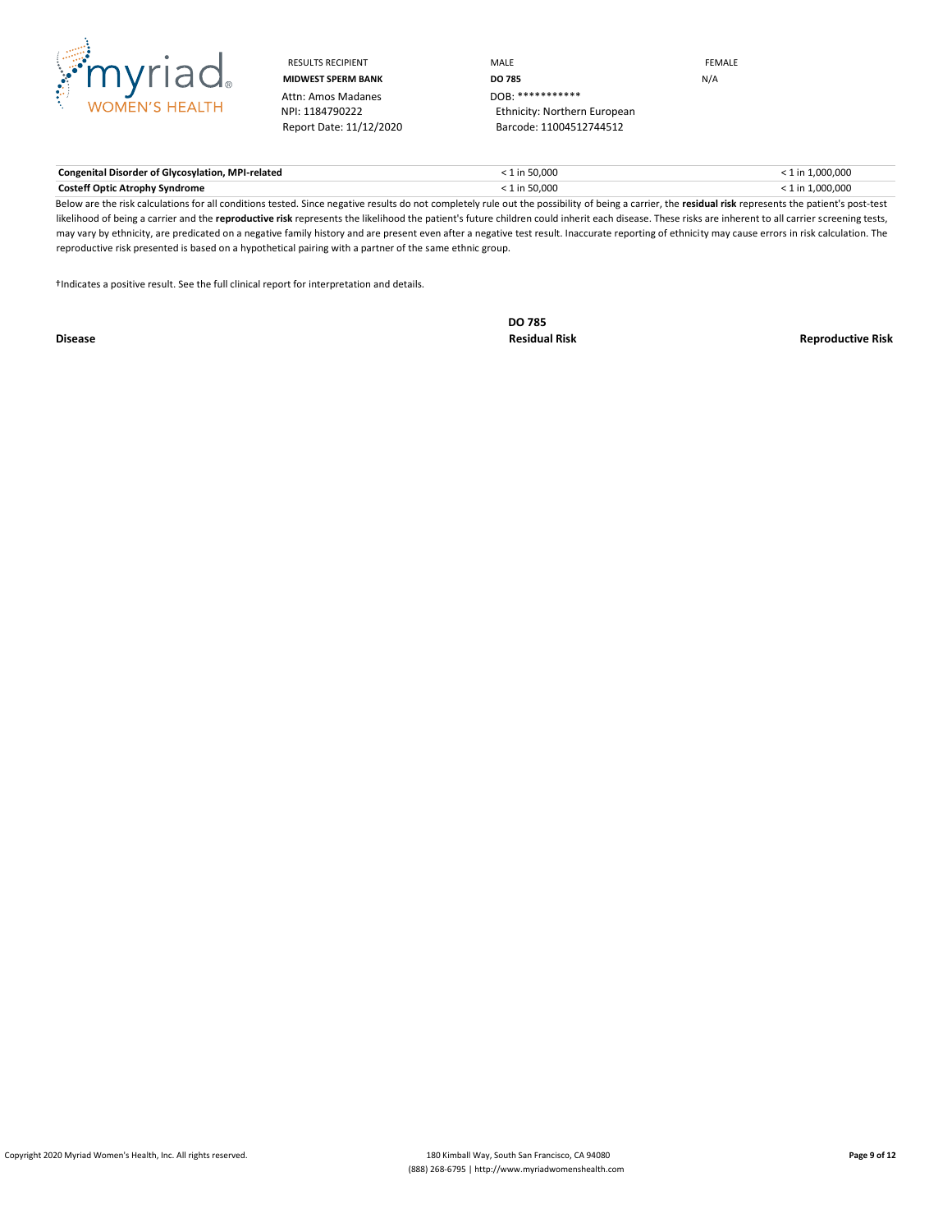

Attn: Amos Madanes<br>NPI: 1184790222

RESULTS RECIPIENT **MALE MALE MIDWEST SPERM BANK DO 785** N/A Ethnicity: Northern European Report Date: 11/12/2020 Barcode: 11004512744512

| <b>Congenital Disorder of Glycosylation, MPI-related</b> | 1 in 50,000   | $: 1$ in 1.000.000 |
|----------------------------------------------------------|---------------|--------------------|
| <b>Costeff Optic Atrophy Syndrome</b>                    | $1$ in 50,000 | $: 1$ in 1.000.000 |

Below are the risk calculations for all conditions tested. Since negative results do not completely rule out the possibility of being a carrier, the **residual risk** represents the patient's post-test likelihood of being a carrier and the reproductive risk represents the likelihood the patient's future children could inherit each disease. These risks are inherent to all carrier screening tests, may vary by ethnicity, are predicated on a negative family history and are present even after a negative test result. Inaccurate reporting of ethnicity may cause errors in risk calculation. The reproductive risk presented is based on a hypothetical pairing with a partner of the same ethnic group.

†Indicates a positive result. See the full clinical report for interpretation and details.

**DO 785**

**Disease Residual Risk Reproductive Risk**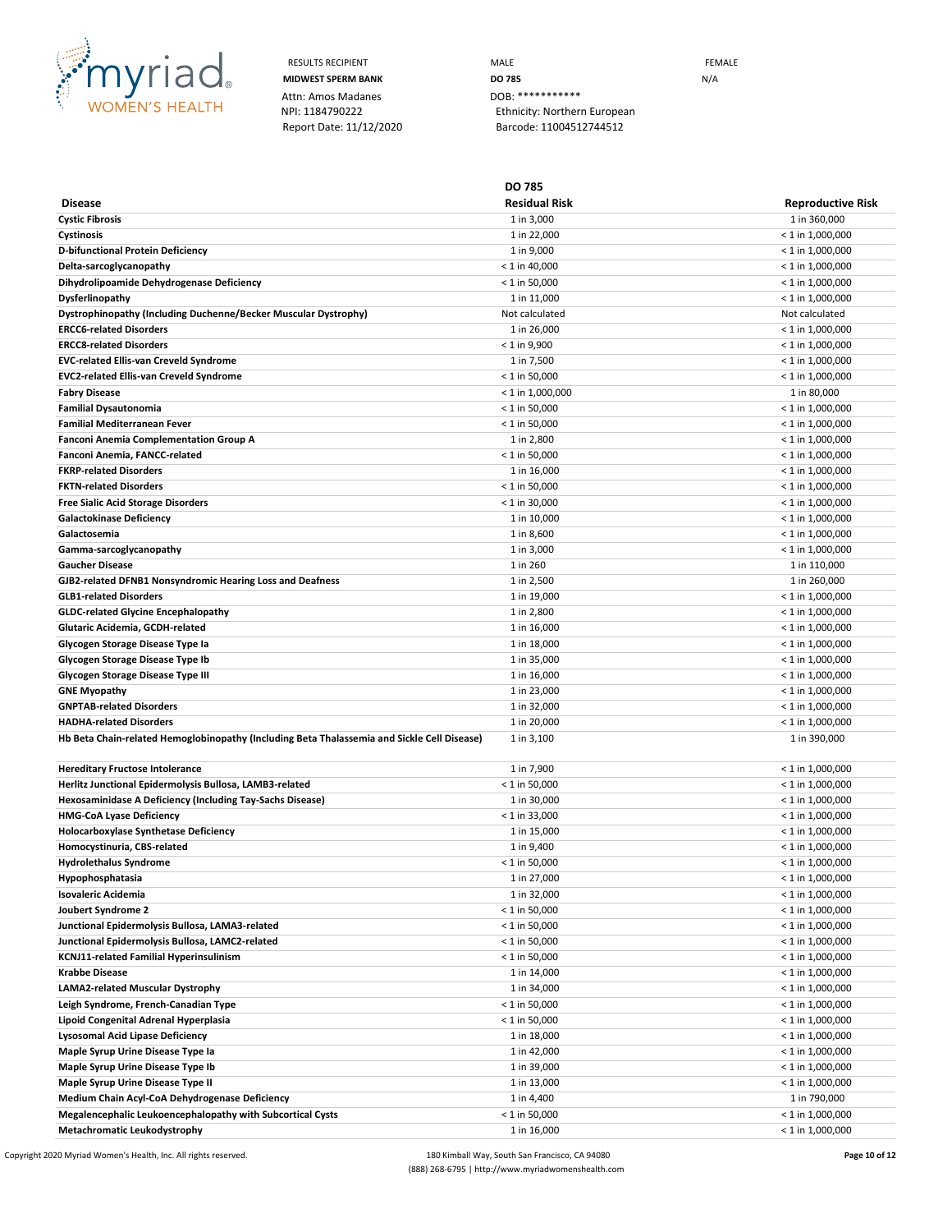

Attn: Amos Madanes **DOB:** \*\*\*

RESULTS RECIPIENT **MALE MALE CONSIDERING MIDWEST SPERM BANK DO 785** N/A NPI: 1184790222 Ethnicity: Northern European Report Date: 11/12/2020 Barcode: 11004512744512

**Disease DO 785 Residual Risk Reproductive Risk Cystic Fibrosis** 1 in 360,000 1 in 360,000 1 in 360,000 1 in 360,000 1 in 360,000 1 in 360,000 1 in 360,000 1 in 360,000 1 in 360,000 1 in 360,000 1 in 360,000 1 in 360,000 1 in 360,000 1 in 360,000 1 in 360,000 1 in 360, **Cystinosis** 1 in 22,000 < 1 in 1,000,000 **D-bifunctional Protein Deficiency**  $\leq 1$  in 1,000,000  $\leq 1$  in 1,000,000  $\leq 1$  in 1,000,000  $\leq 1$  in 1,000,000  $\leq 1$ **Delta-sarcoglycanopathy** < 1 in 1,000,000 < 1 in 40,000 < 1 in 40,000 < 1 in 1,000,000 < 1 in 1,000,000 < 1 in 1,000,000 < 1 in 1,000,000 < 1 in 1,000,000 < 1 in 1,000,000 < 1 in 1,000,000 < 1 in 1,000,000 < 1 in 1,000,00 **Dihydrolipoamide Dehydrogenase Deficiency Canadiation Canadiation Canadiation Canadiation Canadiation Canadiation Canadiation Canadiation Canadiation Canadiation Canadiation Canadiation Canadiati Dysferlinopathy** 1 in 11,000 < 1 in 1,000,000 **Dystrophinopathy (Including Duchenne/Becker Muscular Dystrophy)** Not calculated Not calculated Not calculated Not calculated **ERCC6-related Disorders** 1 in 26,000 < 1 in 1,000,000 **ERCC8-related Disorders** < 1 in 9,900 < 1 in 1,000,000 **EVC-related Ellis-van Creveld Syndrome** 1 in 7,500 < 1 in 1,000,000 **EVC2-related Ellis-van Creveld Syndrome** < 1 in 50,000 < 1 in 1,000,000 **Fabry Disease** < 1 in 1,000,000 1 in 80,000 **Familial Dysautonomia** < 1 in 50,000 < 1 in 1,000,000 **Familial Mediterranean Fever** < 1 in 50,000 < 1 in 1,000,000 **Fanconi Anemia Complementation Group A** 1 in 2,800 and 1 in 2,800 and 1 in 2,800 and 1 in 2,800 and 1,000,000 and 1 in 2,800 and 1,000,000 and 1,000,000 and 1,000,000 and 1,000,000 and 1,000,000 and 1,000,000 and 1,000,00 **Fanconi Anemia, FANCC-related** < 1 in 50,000 < 1 in 1,000,000 **FKRP-related Disorders** 1 in 16,000 < 1 in 1,000,000 **FKTN-related Disorders** < 1 in 50,000 < 1 in 1,000,000 **Free Sialic Acid Storage Disorders** < 1 in 30,000 < 1 in 1,000,000 Galactokinase Deficiency **and the set of the set of the set of the set of the set of the set of the set of the set of the set of the set of the set of the set of the set of the set of the set of the set of the set of the s Galactosemia**  $\leq 1$  in 1,000,000  $\leq 1$  in 1,000,000  $\leq 1$  in 1,000,000  $\leq 1$  in 1,000,000  $\leq 1$ Gamma-sarcoglycanopathy **1** in 3,000 **1000,000**  $\leq$  1 in 1,000,000  $\leq$  1 in 1,000,000 **Gaucher Disease** 1 in 110,000 1 in 110,000 1 in 1260 1 in 260 1 in 1260 1 in 120,000 1 in 110,000 1 in 110,000 1 in 110,000 1 in 110,000 1 in 110,000 1 in 110,000 1 in 110,000 1 in 110,000 1 in 110,000 1 in 110,000 1 in 1 GJB2-related DFNB1 Nonsyndromic Hearing Loss and Deafness and 1000 1 in 2,500 1 in 2,500 1 in 260,000 1 in 260,000 **GLB1-related Disorders** 1 in 19,000 < 1 in 1,000,000 **GLDC-related Glycine Encephalopathy**  $\leq 1$  in 1,000,000  $\leq 1$  in 1,000,000  $\leq 1$  in 1,000,000  $\leq 1$  in 1,000,000  $\leq 1$ **Glutaric Acidemia, GCDH-related** 1 in 16,000 < 1 in 1,000,000 **Glycogen Storage Disease Type Ia** 1 **in 18,000** 1 in 18,000 1 in 18,000 1 in 18,000 1 in 19,000,000 1 in 1,000,000 1 in 1,000,000 1 in 1,000,000 1 in 1,000,000 1 in 1,000,000 1 in 1,000,000 1 in 1,000,000 1 in 1,000,000 1 **Glycogen Storage Disease Type Ib**  $\leq 1$  in  $1,000,000$   $\leq 1$  in  $1,000,000$   $\leq 1$  in  $1,000,000$ **Glycogen Storage Disease Type III** 1000,000  $\leq 1$  in 16,000  $\leq 1$  in 1,000,000  $\leq 1$  in 1,000,000  $\leq 1$  in 1,000,000  $\leq 1$  in 1,000,000  $\leq 1$  in 1,000,000  $\leq 1$  in 1,000,000  $\leq 1$  in 1,000,000  $\leq 1$  in 1 **GNE Myopathy**  $\le 1$  in 1,000,000  $\le 1$  in 1,000,000  $\le 1$  in 1,000,000  $\le 1$  in 1,000,000  $\le 1$ **GNPTAB-related Disorders** 1 in 32,000 < 1 in 1,000,000 **HADHA-related Disorders** 1 in 20,000 < 1 in 1,000,000 Hb Beta Chain-related Hemoglobinopathy (Including Beta Thalassemia and Sickle Cell Disease) 1 in 3,100 1 in 390,000 1 in 390,000 **Hereditary Fructose Intolerance** 1 in 7,900 < 1 in 1,000,000 **Herlitz Junctional Epidermolysis Bullosa, LAMB3-related** < 1 in 1,000,000 < 1 in 50,000 < 1 in 1,000,000 < 1 in 1,000,000 Hexosaminidase A Deficiency (Including Tay-Sachs Disease) **1 in 30,000** 1 in 30,000 **1000** 1 in 30,000 **1000,000 HMG-CoA Lyase Deficiency** < 1 in 1,000,000 < 1 in 33,000 < 1 in 1,000,000 < 1 in 1,000,000 < 1 in 1,000,000 < 1 in 1,000,000 < 1 in 1,000,000 < 1 in 1,000,000 < 1 in 1,000,000 < 1 in 1,000,000 < 1 in 1,000,000 < 1 in 1,00 **Holocarboxylase Synthetase Deficiency** 1 in 15,000 < 1 in 1,000,000 **Homocystinuria, CBS-related** 1 in 9,400 < 1 in 1,000,000 **Hydrolethalus Syndrome** < 1 in 50,000 < 1 in 1,000,000 **Hypophosphatasia** < 1 in 1,000,000 < 1 in 1,000,000 < 1 in 1,000,000 < 1 in 1,000,000 < 1 in 1,000,000 < 1 in 1,000,000 < 1 in 1,000,000 < 1 in 1,000,000 < 1 in 1,000,000 < 1 in 1,000,000 < 1 in 1,000,000 < 1 in 1,000,000 **Isovaleric Acidemia** 1 in 32,000 < 1 in 1,000,000 **Joubert Syndrome 2** < 1 in 1,000,000 < 1 in 50,000 < 1 in 50,000 < 1 in 50,000 < 1 in 1,000,000 < 1 in 1,000,000 < **Junctional Epidermolysis Bullosa, LAMA3-related**  $\leq 1$  in  $50,000$   $\leq 1$  in  $1,000,000$ **Junctional Epidermolysis Bullosa, LAMC2-related** < 1 in 50,000 < 1 in 1,000,000 **KCNJ11-related Familial Hyperinsulinism** < 1 in 50,000 < 1 in 1,000,000 **Krabbe Disease** 1 in 14,000 < 1 in 1,000,000 **LAMA2-related Muscular Dystrophy** 2011 2009,000 2012 2012 2013 2014 2012 2022 2023 2024 2022 2023 2024 2022 2023 2024 2022 2023 2022 2023 2022 2023 2022 2023 2022 2023 2022 2023 2022 2023 2022 2023 2023 2023 2023 2023 202 Leigh Syndrome, French-Canadian Type **All and Syndrome, The Canadian Type**  $\leq 1$  **in 1,000,000**  $\leq 1$  in 1,000,000 **Lipoid Congenital Adrenal Hyperplasia** < 1 in 50,000 < 1 in 1,000,000 **Lysosomal Acid Lipase Deficiency** 1 in 18,000 < 1 in 1,000,000 **Maple Syrup Urine Disease Type Ia** 1 and 1 in 42,000 to the syrup Urine Disease Type Ia 1,000,000 to the syrup Urine Disease Type Ia 1,000,000 to the syrup Urine Disease Type Ia 1,000,000 to the syrup Urine Disease Type I **Maple Syrup Urine Disease Type Ib**  $\leq 1$  in  $1,000,000$   $\leq 1$  in  $1,000,000$ **Maple Syrup Urine Disease Type II** 13,000,000  $\leq 1$  in 13,000  $\leq 1$  in 1,000,000  $\leq 1$  in 1,000,000  $\leq 1$ **Medium Chain Acyl-CoA Dehydrogenase Deficiency** 1 in 4,400 1 in 790,000 **Megalencephalic Leukoencephalopathy with Subcortical Cysts** extending the state of 1 in 50,000  $\leq 1$  in 1,000,000  $\leq 1$  in 1,000,000 **Metachromatic Leukodystrophy**  $\leq 1$  in 1,000,000  $\leq 1$  in 16,000  $\leq 1$  in 1,000,000  $\leq 1$  in 1,000,000

Copyright 2020 Myriad Women's Health, Inc. All rights reserved. 180 Kimball Way, South San Francisco, CA 94080 **Page 10 of 12** (888) 268-6795 | http://www.myriadwomenshealth.com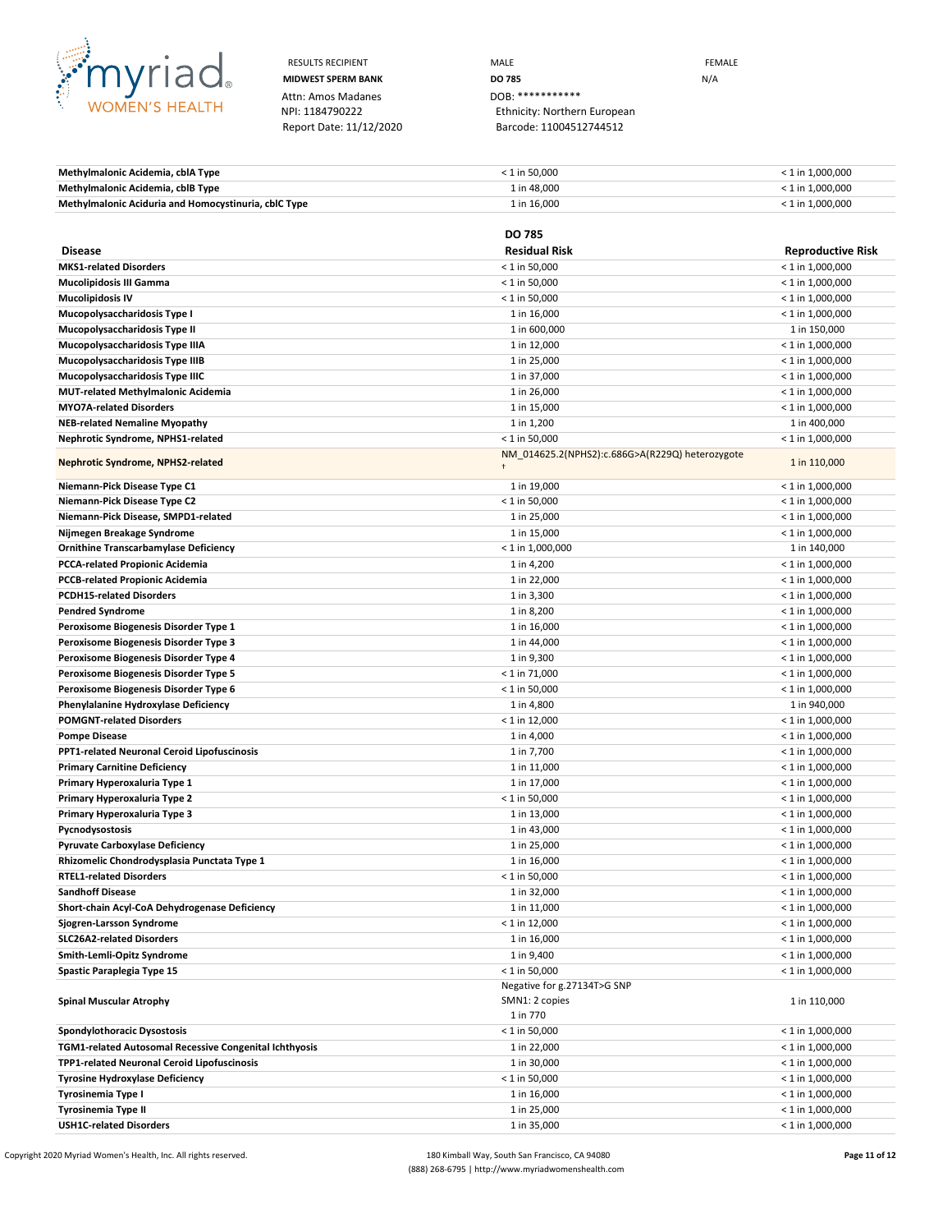

Attn: Amos Madanes **DOB:** \*\*\*\*\*\*\*\*\*\*\*\*\*\*<br>
NPI: 1184790222 **Ethnicity: Norther** 

RESULTS RECIPIENT **MALE MALE EXAMPLE MIDWEST SPERM BANK DO 785 DO 785** N/A Ethnicity: Northern European Report Date: 11/12/2020 Barcode: 11004512744512

**Methylmalonic Acidemia, cblA Type** < 1 in 50,000 < 1 in 1,000,000 **Methylmalonic Acidemia, cblB Type**  $\leq 1$  **in 1,000,000**  $\leq 1$  in 1,000,000  $\leq 1$  in 1,000,000 **Methylmalonic Aciduria and Homocystinuria, cblC Type** 1 **in 16,000** 1 in 16,000 1 in 16,000 1 in 1,000,000 1 in 1,000,000

|                                                        | <b>DO 785</b>                                   |                          |
|--------------------------------------------------------|-------------------------------------------------|--------------------------|
| <b>Disease</b>                                         | <b>Residual Risk</b>                            | <b>Reproductive Risk</b> |
| <b>MKS1-related Disorders</b>                          | $< 1$ in 50,000                                 | $<$ 1 in 1,000,000       |
| <b>Mucolipidosis III Gamma</b>                         | $< 1$ in 50,000                                 | $<$ 1 in 1,000,000       |
| <b>Mucolipidosis IV</b>                                | $< 1$ in 50,000                                 | $<$ 1 in 1,000,000       |
| Mucopolysaccharidosis Type I                           | 1 in 16,000                                     | $<$ 1 in 1,000,000       |
| Mucopolysaccharidosis Type II                          | 1 in 600,000                                    | 1 in 150,000             |
| Mucopolysaccharidosis Type IIIA                        | 1 in 12,000                                     | $<$ 1 in 1,000,000       |
| Mucopolysaccharidosis Type IIIB                        | 1 in 25,000                                     | $<$ 1 in 1,000,000       |
| Mucopolysaccharidosis Type IIIC                        | 1 in 37,000                                     | $<$ 1 in 1,000,000       |
| <b>MUT-related Methylmalonic Acidemia</b>              | 1 in 26,000                                     | $<$ 1 in 1,000,000       |
| <b>MYO7A-related Disorders</b>                         | 1 in 15,000                                     | $<$ 1 in 1,000,000       |
| <b>NEB-related Nemaline Myopathy</b>                   | 1 in 1,200                                      | 1 in 400,000             |
| Nephrotic Syndrome, NPHS1-related                      | $< 1$ in 50,000                                 | $<$ 1 in 1,000,000       |
| Nephrotic Syndrome, NPHS2-related                      | NM_014625.2(NPHS2):c.686G>A(R229Q) heterozygote | 1 in 110,000             |
|                                                        |                                                 |                          |
| Niemann-Pick Disease Type C1                           | 1 in 19,000                                     | $<$ 1 in 1,000,000       |
| Niemann-Pick Disease Type C2                           | $<$ 1 in 50,000                                 | $<$ 1 in 1,000,000       |
| Niemann-Pick Disease, SMPD1-related                    | 1 in 25,000                                     | $<$ 1 in 1,000,000       |
| Nijmegen Breakage Syndrome                             | 1 in 15,000                                     | $<$ 1 in 1,000,000       |
| <b>Ornithine Transcarbamylase Deficiency</b>           | $<$ 1 in 1,000,000                              | 1 in 140,000             |
| <b>PCCA-related Propionic Acidemia</b>                 | 1 in 4,200                                      | $< 1$ in 1,000,000       |
| <b>PCCB-related Propionic Acidemia</b>                 | 1 in 22,000                                     | $<$ 1 in 1,000,000       |
| <b>PCDH15-related Disorders</b>                        | 1 in 3,300                                      | $<$ 1 in 1,000,000       |
| <b>Pendred Syndrome</b>                                | 1 in 8,200                                      | $< 1$ in 1,000,000       |
| Peroxisome Biogenesis Disorder Type 1                  | 1 in 16,000                                     | $<$ 1 in 1,000,000       |
| Peroxisome Biogenesis Disorder Type 3                  | 1 in 44,000                                     | $<$ 1 in 1,000,000       |
| Peroxisome Biogenesis Disorder Type 4                  | 1 in 9,300                                      | $<$ 1 in 1,000,000       |
| Peroxisome Biogenesis Disorder Type 5                  | $< 1$ in 71,000                                 | $<$ 1 in 1,000,000       |
| Peroxisome Biogenesis Disorder Type 6                  | $< 1$ in 50,000                                 | $<$ 1 in 1,000,000       |
| Phenylalanine Hydroxylase Deficiency                   | 1 in 4,800                                      | 1 in 940,000             |
| <b>POMGNT-related Disorders</b>                        | $< 1$ in 12,000                                 | $<$ 1 in 1,000,000       |
| <b>Pompe Disease</b>                                   | 1 in 4,000                                      | $<$ 1 in 1,000,000       |
| PPT1-related Neuronal Ceroid Lipofuscinosis            | 1 in 7,700                                      | $<$ 1 in 1,000,000       |
| <b>Primary Carnitine Deficiency</b>                    | 1 in 11,000                                     | $<$ 1 in 1,000,000       |
| Primary Hyperoxaluria Type 1                           | 1 in 17,000                                     | $<$ 1 in 1,000,000       |
| Primary Hyperoxaluria Type 2                           | $< 1$ in 50,000                                 | $<$ 1 in 1,000,000       |
| Primary Hyperoxaluria Type 3                           | 1 in 13,000                                     | $<$ 1 in 1,000,000       |
| Pycnodysostosis                                        | 1 in 43,000                                     | $<$ 1 in 1,000,000       |
| <b>Pyruvate Carboxylase Deficiency</b>                 | 1 in 25,000                                     | $<$ 1 in 1,000,000       |
| Rhizomelic Chondrodysplasia Punctata Type 1            | 1 in 16,000                                     | $<$ 1 in 1,000,000       |
| <b>RTEL1-related Disorders</b>                         | $< 1$ in 50,000                                 | $<$ 1 in 1,000,000       |
| <b>Sandhoff Disease</b>                                | 1 in 32,000                                     | $<$ 1 in 1,000,000       |
| Short-chain Acyl-CoA Dehydrogenase Deficiency          | 1 in 11,000                                     | $<$ 1 in 1,000,000       |
| Sjogren-Larsson Syndrome                               | $< 1$ in 12,000                                 | $< 1$ in 1,000,000       |
| <b>SLC26A2-related Disorders</b>                       | 1 in 16,000                                     | $<$ 1 in 1,000,000       |
| Smith-Lemli-Opitz Syndrome                             | 1 in 9,400                                      | $< 1$ in 1,000,000       |
| Spastic Paraplegia Type 15                             | $< 1$ in 50,000                                 | $< 1$ in 1,000,000       |
|                                                        | Negative for g.27134T>G SNP                     |                          |
| <b>Spinal Muscular Atrophy</b>                         | SMN1: 2 copies                                  | 1 in 110,000             |
|                                                        | 1 in 770                                        |                          |
| Spondylothoracic Dysostosis                            | $< 1$ in 50,000                                 | $<$ 1 in 1,000,000       |
| TGM1-related Autosomal Recessive Congenital Ichthyosis | 1 in 22,000                                     | $<$ 1 in 1,000,000       |
| TPP1-related Neuronal Ceroid Lipofuscinosis            | 1 in 30,000                                     | $< 1$ in 1,000,000       |
| <b>Tyrosine Hydroxylase Deficiency</b>                 | $< 1$ in 50,000                                 | $< 1$ in 1,000,000       |
| Tyrosinemia Type I                                     | 1 in 16,000                                     | $< 1$ in 1,000,000       |
| <b>Tyrosinemia Type II</b>                             | 1 in 25,000                                     | $< 1$ in 1,000,000       |
| <b>USH1C-related Disorders</b>                         | 1 in 35,000                                     | $< 1$ in 1,000,000       |

Copyright 2020 Myriad Women's Health, Inc. All rights reserved. **180** Kimball Way, South San Francisco, CA 94080 **Page 11 of 12** Page 11 of 12 (888) 268-6795 | http://www.myriadwomenshealth.com